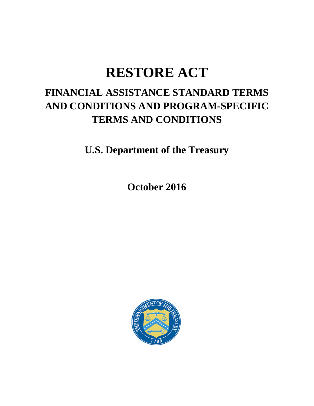# **RESTORE ACT**

# **FINANCIAL ASSISTANCE STANDARD TERMS AND CONDITIONS AND PROGRAM-SPECIFIC TERMS AND CONDITIONS**

**U.S. Department of the Treasury**

**October 2016**

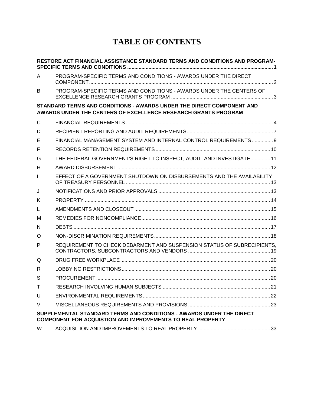# **TABLE OF CONTENTS**

|    | RESTORE ACT FINANCIAL ASSISTANCE STANDARD TERMS AND CONDITIONS AND PROGRAM-                                                               |  |
|----|-------------------------------------------------------------------------------------------------------------------------------------------|--|
| A  | PROGRAM-SPECIFIC TERMS AND CONDITIONS - AWARDS UNDER THE DIRECT                                                                           |  |
| B  | PROGRAM-SPECIFIC TERMS AND CONDITIONS - AWARDS UNDER THE CENTERS OF                                                                       |  |
|    | STANDARD TERMS AND CONDITIONS - AWARDS UNDER THE DIRECT COMPONENT AND<br>AWARDS UNDER THE CENTERS OF EXCELLENCE RESEARCH GRANTS PROGRAM   |  |
| C  |                                                                                                                                           |  |
| D  |                                                                                                                                           |  |
| Е  | FINANCIAL MANAGEMENT SYSTEM AND INTERNAL CONTROL REQUIREMENTS 9                                                                           |  |
| F  |                                                                                                                                           |  |
| G  | THE FEDERAL GOVERNMENT'S RIGHT TO INSPECT, AUDIT, AND INVESTIGATE11                                                                       |  |
| H  |                                                                                                                                           |  |
| T  | EFFECT OF A GOVERNMENT SHUTDOWN ON DISBURSEMENTS AND THE AVAILABILITY                                                                     |  |
| J  |                                                                                                                                           |  |
| K  |                                                                                                                                           |  |
| L  |                                                                                                                                           |  |
| M  |                                                                                                                                           |  |
| N  |                                                                                                                                           |  |
| O  |                                                                                                                                           |  |
| P  | REQUIREMENT TO CHECK DEBARMENT AND SUSPENSION STATUS OF SUBRECIPIENTS.                                                                    |  |
| Q  |                                                                                                                                           |  |
| R  |                                                                                                                                           |  |
| S  |                                                                                                                                           |  |
| T. |                                                                                                                                           |  |
| U  |                                                                                                                                           |  |
| V  |                                                                                                                                           |  |
|    | SUPPLEMENTAL STANDARD TERMS AND CONDITIONS - AWARDS UNDER THE DIRECT<br><b>COMPONENT FOR ACQUISTION AND IMPROVEMENTS TO REAL PROPERTY</b> |  |
| W  |                                                                                                                                           |  |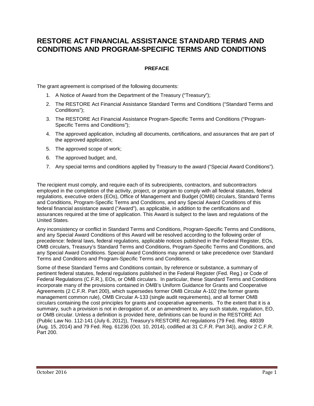# <span id="page-2-0"></span>**RESTORE ACT FINANCIAL ASSISTANCE STANDARD TERMS AND CONDITIONS AND PROGRAM-SPECIFIC TERMS AND CONDITIONS**

# **PREFACE**

The grant agreement is comprised of the following documents:

- 1. A Notice of Award from the Department of the Treasury ("Treasury");
- 2. The RESTORE Act Financial Assistance Standard Terms and Conditions ("Standard Terms and Conditions");
- 3. The RESTORE Act Financial Assistance Program-Specific Terms and Conditions ("Program-Specific Terms and Conditions");
- 4. The approved application, including all documents, certifications, and assurances that are part of the approved application;
- 5. The approved scope of work;
- 6. The approved budget; and,
- 7. Any special terms and conditions applied by Treasury to the award ("Special Award Conditions").

The recipient must comply, and require each of its subrecipients, contractors, and subcontractors employed in the completion of the activity, project, or program to comply with all federal statutes, federal regulations, executive orders (EOs), Office of Management and Budget (OMB) circulars, Standard Terms and Conditions, Program-Specific Terms and Conditions, and any Special Award Conditions of this federal financial assistance award ("Award"), as applicable, in addition to the certifications and assurances required at the time of application. This Award is subject to the laws and regulations of the United States.

Any inconsistency or conflict in Standard Terms and Conditions, Program-Specific Terms and Conditions, and any Special Award Conditions of this Award will be resolved according to the following order of precedence: federal laws, federal regulations, applicable notices published in the Federal Register, EOs, OMB circulars, Treasury's Standard Terms and Conditions, Program-Specific Terms and Conditions, and any Special Award Conditions. Special Award Conditions may amend or take precedence over Standard Terms and Conditions and Program-Specific Terms and Conditions.

Some of these Standard Terms and Conditions contain, by reference or substance, a summary of pertinent federal statutes, federal regulations published in the Federal Register (Fed. Reg.) or Code of Federal Regulations (C.F.R.), EOs, or OMB circulars. In particular, these Standard Terms and Conditions incorporate many of the provisions contained in OMB's Uniform Guidance for Grants and Cooperative Agreements (2 C.F.R. Part 200), which supersedes former OMB Circular A-102 (the former grants management common rule), OMB Circular A-133 (single audit requirements), and all former OMB circulars containing the cost principles for grants and cooperative agreements. To the extent that it is a summary, such a provision is not in derogation of, or an amendment to, any such statute, regulation, EO, or OMB circular. Unless a definition is provided here, definitions can be found in the RESTORE Act (Public Law No. 112-141 (July 6, 2012)), Treasury's RESTORE Act regulations (79 Fed. Reg. 48039 (Aug. 15, 2014) and 79 Fed. Reg. 61236 (Oct. 10, 2014), codified at 31 C.F.R. Part 34)), and/or 2 C.F.R. Part 200.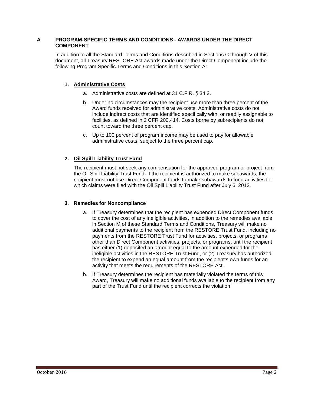# <span id="page-3-0"></span>**A PROGRAM-SPECIFIC TERMS AND CONDITIONS - AWARDS UNDER THE DIRECT COMPONENT**

In addition to all the Standard Terms and Conditions described in Sections C through V of this document, all Treasury RESTORE Act awards made under the Direct Component include the following Program Specific Terms and Conditions in this Section A:

# **1. Administrative Costs**

- a. Administrative costs are defined at 31 C.F.R. § 34.2.
- b. Under no circumstances may the recipient use more than three percent of the Award funds received for administrative costs. Administrative costs do not include indirect costs that are identified specifically with, or readily assignable to facilities, as defined in 2 CFR 200.414. Costs borne by subrecipients do not count toward the three percent cap.
- c. Up to 100 percent of program income may be used to pay for allowable administrative costs, subject to the three percent cap.

# **2. Oil Spill Liability Trust Fund**

The recipient must not seek any compensation for the approved program or project from the Oil Spill Liability Trust Fund. If the recipient is authorized to make subawards, the recipient must not use Direct Component funds to make subawards to fund activities for which claims were filed with the Oil Spill Liability Trust Fund after July 6, 2012.

# **3. Remedies for Noncompliance**

- a. If Treasury determines that the recipient has expended Direct Component funds to cover the cost of any ineligible activities, in addition to the remedies available in Section M of these Standard Terms and Conditions, Treasury will make no additional payments to the recipient from the RESTORE Trust Fund, including no payments from the RESTORE Trust Fund for activities, projects, or programs other than Direct Component activities, projects, or programs, until the recipient has either (1) deposited an amount equal to the amount expended for the ineligible activities in the RESTORE Trust Fund, or (2) Treasury has authorized the recipient to expend an equal amount from the recipient's own funds for an activity that meets the requirements of the RESTORE Act.
- b. If Treasury determines the recipient has materially violated the terms of this Award, Treasury will make no additional funds available to the recipient from any part of the Trust Fund until the recipient corrects the violation.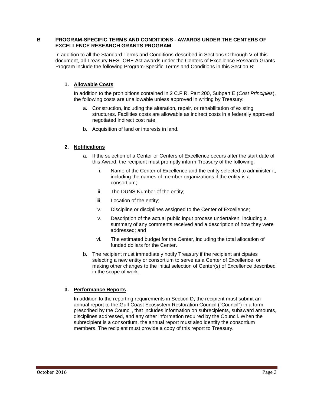## <span id="page-4-0"></span>**B PROGRAM-SPECIFIC TERMS AND CONDITIONS - AWARDS UNDER THE CENTERS OF EXCELLENCE RESEARCH GRANTS PROGRAM**

In addition to all the Standard Terms and Conditions described in Sections C through V of this document, all Treasury RESTORE Act awards under the Centers of Excellence Research Grants Program include the following Program-Specific Terms and Conditions in this Section B:

# **1. Allowable Costs**

In addition to the prohibitions contained in 2 C.F.R. Part 200, Subpart E (*Cost Principles*), the following costs are unallowable unless approved in writing by Treasury:

- a. Construction, including the alteration, repair, or rehabilitation of existing structures. Facilities costs are allowable as indirect costs in a federally approved negotiated indirect cost rate.
- b. Acquisition of land or interests in land.

# **2. Notifications**

- a. If the selection of a Center or Centers of Excellence occurs after the start date of this Award, the recipient must promptly inform Treasury of the following:
	- i. Name of the Center of Excellence and the entity selected to administer it, including the names of member organizations if the entity is a consortium;
	- ii. The DUNS Number of the entity;
	- iii. Location of the entity;
	- iv. Discipline or disciplines assigned to the Center of Excellence;
	- v. Description of the actual public input process undertaken, including a summary of any comments received and a description of how they were addressed; and
	- vi. The estimated budget for the Center, including the total allocation of funded dollars for the Center.
- b. The recipient must immediately notify Treasury if the recipient anticipates selecting a new entity or consortium to serve as a Center of Excellence, or making other changes to the initial selection of Center(s) of Excellence described in the scope of work.

# **3. Performance Reports**

In addition to the reporting requirements in Section D, the recipient must submit an annual report to the Gulf Coast Ecosystem Restoration Council ("Council") in a form prescribed by the Council, that includes information on subrecipients, subaward amounts, disciplines addressed, and any other information required by the Council. When the subrecipient is a consortium, the annual report must also identify the consortium members. The recipient must provide a copy of this report to Treasury.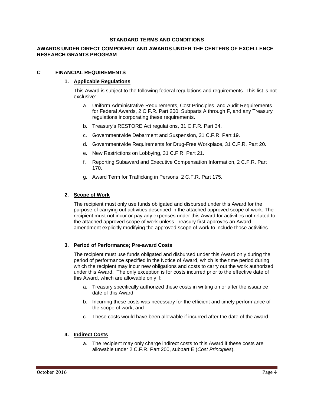#### **STANDARD TERMS AND CONDITIONS**

# **AWARDS UNDER DIRECT COMPONENT AND AWARDS UNDER THE CENTERS OF EXCELLENCE RESEARCH GRANTS PROGRAM**

#### <span id="page-5-0"></span>**C FINANCIAL REQUIREMENTS**

#### **1. Applicable Regulations**

This Award is subject to the following federal regulations and requirements. This list is not exclusive:

- a. Uniform Administrative Requirements, Cost Principles, and Audit Requirements for Federal Awards, 2 C.F.R. Part 200, Subparts A through F, and any Treasury regulations incorporating these requirements.
- b. Treasury's RESTORE Act regulations, 31 C.F.R. Part 34.
- c. Governmentwide Debarment and Suspension, 31 C.F.R. Part 19.
- d. Governmentwide Requirements for Drug-Free Workplace, 31 C.F.R. Part 20.
- e. New Restrictions on Lobbying, 31 C.F.R. Part 21.
- f. Reporting Subaward and Executive Compensation Information, 2 C.F.R. Part 170.
- g. Award Term for Trafficking in Persons, 2 C.F.R. Part 175.

#### **2. Scope of Work**

The recipient must only use funds obligated and disbursed under this Award for the purpose of carrying out activities described in the attached approved scope of work. The recipient must not incur or pay any expenses under this Award for activities not related to the attached approved scope of work unless Treasury first approves an Award amendment explicitly modifying the approved scope of work to include those activities.

# **3. Period of Performance; Pre-award Costs**

The recipient must use funds obligated and disbursed under this Award only during the period of performance specified in the Notice of Award, which is the time period during which the recipient may incur new obligations and costs to carry out the work authorized under this Award. The only exception is for costs incurred prior to the effective date of this Award, which are allowable only if:

- a. Treasury specifically authorized these costs in writing on or after the issuance date of this Award;
- b. Incurring these costs was necessary for the efficient and timely performance of the scope of work; and
- c. These costs would have been allowable if incurred after the date of the award.

# **4. Indirect Costs**

a. The recipient may only charge indirect costs to this Award if these costs are allowable under 2 C.F.R. Part 200, subpart E (*Cost Principles*).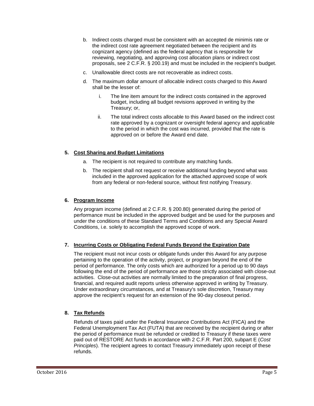- b. Indirect costs charged must be consistent with an accepted de minimis rate or the indirect cost rate agreement negotiated between the recipient and its cognizant agency (defined as the federal agency that is responsible for reviewing, negotiating, and approving cost allocation plans or indirect cost proposals, see 2 C.F.R. § 200.19) and must be included in the recipient's budget.
- c. Unallowable direct costs are not recoverable as indirect costs.
- d. The maximum dollar amount of allocable indirect costs charged to this Award shall be the lesser of:
	- i. The line item amount for the indirect costs contained in the approved budget, including all budget revisions approved in writing by the Treasury; or,
	- ii. The total indirect costs allocable to this Award based on the indirect cost rate approved by a cognizant or oversight federal agency and applicable to the period in which the cost was incurred, provided that the rate is approved on or before the Award end date.

# **5. Cost Sharing and Budget Limitations**

- a. The recipient is not required to contribute any matching funds.
- b. The recipient shall not request or receive additional funding beyond what was included in the approved application for the attached approved scope of work from any federal or non-federal source, without first notifying Treasury.

# **6. Program Income**

Any program income (defined at 2 C.F.R. § 200.80) generated during the period of performance must be included in the approved budget and be used for the purposes and under the conditions of these Standard Terms and Conditions and any Special Award Conditions, i.e. solely to accomplish the approved scope of work.

# **7. Incurring Costs or Obligating Federal Funds Beyond the Expiration Date**

The recipient must not incur costs or obligate funds under this Award for any purpose pertaining to the operation of the activity, project, or program beyond the end of the period of performance. The only costs which are authorized for a period up to 90 days following the end of the period of performance are those strictly associated with close-out activities. Close-out activities are normally limited to the preparation of final progress, financial, and required audit reports unless otherwise approved in writing by Treasury. Under extraordinary circumstances, and at Treasury's sole discretion, Treasury may approve the recipient's request for an extension of the 90-day closeout period.

# **8. Tax Refunds**

Refunds of taxes paid under the Federal Insurance Contributions Act (FICA) and the Federal Unemployment Tax Act (FUTA) that are received by the recipient during or after the period of performance must be refunded or credited to Treasury if these taxes were paid out of RESTORE Act funds in accordance with 2 C.F.R. Part 200, subpart E (*Cost Principles*). The recipient agrees to contact Treasury immediately upon receipt of these refunds.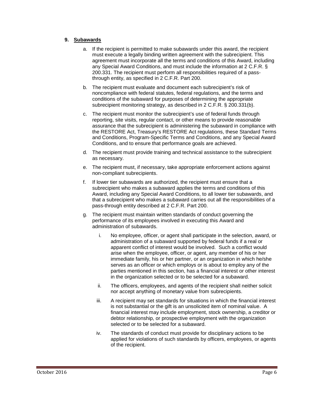# **9. Subawards**

- a. If the recipient is permitted to make subawards under this award, the recipient must execute a legally binding written agreement with the subrecipient. This agreement must incorporate all the terms and conditions of this Award, including any Special Award Conditions, and must include the information at 2 C.F.R. § 200.331. The recipient must perform all responsibilities required of a passthrough entity, as specified in 2 C.F.R. Part 200.
- b. The recipient must evaluate and document each subrecipient's risk of noncompliance with federal statutes, federal regulations, and the terms and conditions of the subaward for purposes of determining the appropriate subrecipient monitoring strategy, as described in 2 C.F.R. § 200.331(b).
- c. The recipient must monitor the subrecipient's use of federal funds through reporting, site visits, regular contact, or other means to provide reasonable assurance that the subrecipient is administering the subaward in compliance with the RESTORE Act, Treasury's RESTORE Act regulations, these Standard Terms and Conditions, Program-Specific Terms and Conditions, and any Special Award Conditions, and to ensure that performance goals are achieved.
- d. The recipient must provide training and technical assistance to the subrecipient as necessary.
- e. The recipient must, if necessary, take appropriate enforcement actions against non-compliant subrecipients.
- f. If lower tier subawards are authorized, the recipient must ensure that a subrecipient who makes a subaward applies the terms and conditions of this Award, including any Special Award Conditions, to all lower tier subawards, and that a subrecipient who makes a subaward carries out all the responsibilities of a pass-through entity described at 2 C.F.R. Part 200.
- g. The recipient must maintain written standards of conduct governing the performance of its employees involved in executing this Award and administration of subawards.
	- i. No employee, officer, or agent shall participate in the selection, award, or administration of a subaward supported by federal funds if a real or apparent conflict of interest would be involved. Such a conflict would arise when the employee, officer, or agent, any member of his or her immediate family, his or her partner, or an organization in which he/she serves as an officer or which employs or is about to employ any of the parties mentioned in this section, has a financial interest or other interest in the organization selected or to be selected for a subaward.
	- ii. The officers, employees, and agents of the recipient shall neither solicit nor accept anything of monetary value from subrecipients.
	- iii. A recipient may set standards for situations in which the financial interest is not substantial or the gift is an unsolicited item of nominal value. A financial interest may include employment, stock ownership, a creditor or debtor relationship, or prospective employment with the organization selected or to be selected for a subaward.
	- iv. The standards of conduct must provide for disciplinary actions to be applied for violations of such standards by officers, employees, or agents of the recipient.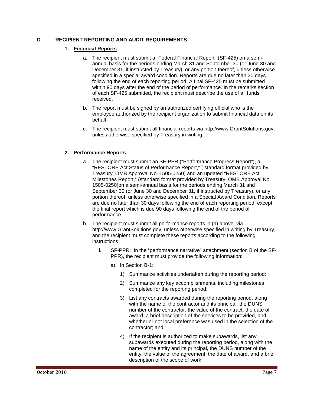# <span id="page-8-0"></span>**D RECIPIENT REPORTING AND AUDIT REQUIREMENTS**

### **1. Financial Reports**

- a. The recipient must submit a "Federal Financial Report" (SF-425) on a semiannual basis for the periods ending March 31 and September 30 (or June 30 and December 31, if instructed by Treasury), or any portion thereof, unless otherwise specified in a special award condition. Reports are due no later than 30 days following the end of each reporting period. A final SF-425 must be submitted within 90 days after the end of the period of performance. In the remarks section of each SF-425 submitted, the recipient must describe the use of all funds received.
- b. The report must be signed by an authorized certifying official who is the employee authorized by the recipient organization to submit financial data on its behalf.
- c. The recipient must submit all financial reports via http://www.GrantSolutions.gov, unless otherwise specified by Treasury in writing.

# **2. Performance Reports**

- a. The recipient must submit an SF-PPR ("Performance Progress Report"), a "RESTORE Act Status of Performance Report," ( standard format provided by Treasury, OMB Approval No. 1505-0250) and an updated "RESTORE Act Milestones Report," (standard format provided by Treasury, OMB Approval No. 1505-0250)on a semi-annual basis for the periods ending March 31 and September 30 (or June 30 and December 31, if instructed by Treasury), or any portion thereof, unless otherwise specified in a Special Award Condition. Reports are due no later than 30 days following the end of each reporting period, except the final report which is due 90 days following the end of the period of performance.
- b. The recipient must submit all performance reports in (a) above, via http://www.GrantSolutions.gov, unless otherwise specified in writing by Treasury, and the recipient must complete these reports according to the following instructions:
	- i. SF-PPR: In the "performance narrative" attachment (section B of the SF-PPR), the recipient must provide the following information:
		- a) In Section B-1:
			- 1) Summarize activities undertaken during the reporting period;
			- 2) Summarize any key accomplishments, including milestones completed for the reporting period;
			- 3) List any contracts awarded during the reporting period, along with the name of the contractor and its principal, the DUNS number of the contractor, the value of the contract, the date of award, a brief description of the services to be provided, and whether or not local preference was used in the selection of the contractor; and
			- 4) If the recipient is authorized to make subawards, list any subawards executed during the reporting period, along with the name of the entity and its principal, the DUNS number of the entity, the value of the agreement, the date of award, and a brief description of the scope of work.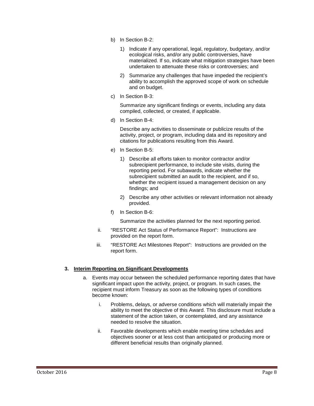- b) In Section B-2:
	- 1) Indicate if any operational, legal, regulatory, budgetary, and/or ecological risks, and/or any public controversies, have materialized. If so, indicate what mitigation strategies have been undertaken to attenuate these risks or controversies; and
	- 2) Summarize any challenges that have impeded the recipient's ability to accomplish the approved scope of work on schedule and on budget.
- c) In Section B-3:

Summarize any significant findings or events, including any data compiled, collected, or created, if applicable.

d) In Section B-4:

Describe any activities to disseminate or publicize results of the activity, project, or program, including data and its repository and citations for publications resulting from this Award.

- e) In Section B-5:
	- 1) Describe all efforts taken to monitor contractor and/or subrecipient performance, to include site visits, during the reporting period. For subawards, indicate whether the subrecipient submitted an audit to the recipient, and if so, whether the recipient issued a management decision on any findings; and
	- 2) Describe any other activities or relevant information not already provided.
- f) In Section B-6:

Summarize the activities planned for the next reporting period.

- ii. "RESTORE Act Status of Performance Report": Instructions are provided on the report form.
- iii. "RESTORE Act Milestones Report": Instructions are provided on the report form.

# **3. Interim Reporting on Significant Developments**

- a. Events may occur between the scheduled performance reporting dates that have significant impact upon the activity, project, or program. In such cases, the recipient must inform Treasury as soon as the following types of conditions become known:
	- i. Problems, delays, or adverse conditions which will materially impair the ability to meet the objective of this Award. This disclosure must include a statement of the action taken, or contemplated, and any assistance needed to resolve the situation.
	- ii. Favorable developments which enable meeting time schedules and objectives sooner or at less cost than anticipated or producing more or different beneficial results than originally planned.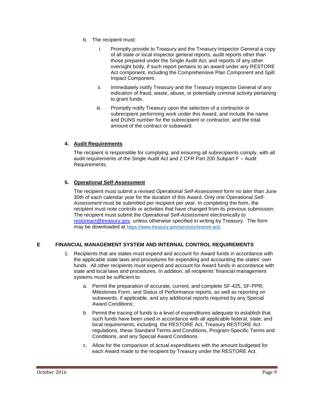- b. The recipient must:
	- i. Promptly provide to Treasury and the Treasury Inspector General a copy of all state or local inspector general reports, audit reports other than those prepared under the Single Audit Act, and reports of any other oversight body, if such report pertains to an award under any RESTORE Act component, including the Comprehensive Plan Component and Spill Impact Component.
	- ii. Immediately notify Treasury and the Treasury Inspector General of any indication of fraud, waste, abuse, or potentially criminal activity pertaining to grant funds.
	- iii. Promptly notify Treasury upon the selection of a contractor or subrecipient performing work under this Award, and include the name and DUNS number for the subrecipient or contractor, and the total amount of the contract or subaward.

#### **4. Audit Requirements**

The recipient is responsible for complying, and ensuring all subrecipients comply, with all audit requirements of the Single Audit Act and 2 CFR Part 200 Subpart F – Audit Requirements.

#### **5. Operational Self-Assessment**

The recipient must submit a revised *Operational Self-Assessment* form no later than June 30th of each calendar year for the duration of this Award. Only one *Operational Self-Assessment* must be submitted per recipient per year. In completing the form, the recipient must note controls or activities that have changed from its previous submission. The recipient must submit the *Operational Self-Assessment* electronically to [restoreact@treasury.gov,](mailto:restoreact@treasury.gov) unless otherwise specified in writing by Treasury. The form may be downloaded at [https://www.treasury.gov/services/restore-act/.](https://www.treasury.gov/services/restore-act/)

# <span id="page-10-0"></span>**E FINANCIAL MANAGEMENT SYSTEM AND INTERNAL CONTROL REQUIREMENTS**

- 1. Recipients that are states must expend and account for Award funds in accordance with the applicable state laws and procedures for expending and accounting the states' own funds. All other recipients must expend and account for Award funds in accordance with state and local laws and procedures. In addition, all recipients' financial management systems must be sufficient to:
	- a. Permit the preparation of accurate, current, and complete SF-425, SF-PPR, Milestones Form, and Status of Performance reports, as well as reporting on subawards, if applicable, and any additional reports required by any Special Award Conditions;
	- b. Permit the tracing of funds to a level of expenditures adequate to establish that such funds have been used in accordance with all applicable federal, state, and local requirements, including the RESTORE Act, Treasury RESTORE Act regulations, these Standard Terms and Conditions, Program-Specific Terms and Conditions, and any Special Award Conditions.
	- c. Allow for the comparison of actual expenditures with the amount budgeted for each Award made to the recipient by Treasury under the RESTORE Act.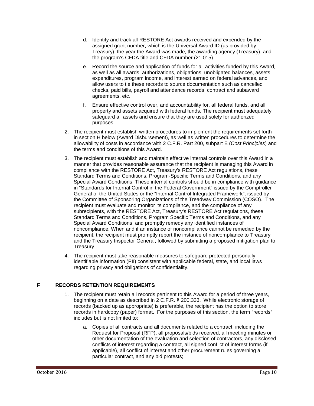- d. Identify and track all RESTORE Act awards received and expended by the assigned grant number, which is the Universal Award ID (as provided by Treasury), the year the Award was made, the awarding agency (Treasury), and the program's CFDA title and CFDA number (21.015).
- e. Record the source and application of funds for all activities funded by this Award, as well as all awards, authorizations, obligations, unobligated balances, assets, expenditures, program income, and interest earned on federal advances, and allow users to tie these records to source documentation such as cancelled checks, paid bills, payroll and attendance records, contract and subaward agreements, etc.
- f. Ensure effective control over, and accountability for, all federal funds, and all property and assets acquired with federal funds. The recipient must adequately safeguard all assets and ensure that they are used solely for authorized purposes.
- 2. The recipient must establish written procedures to implement the requirements set forth in section H below (Award Disbursement), as well as written procedures to determine the allowability of costs in accordance with 2 C.F.R. Part 200, subpart E (*Cost Principles*) and the terms and conditions of this Award.
- 3. The recipient must establish and maintain effective internal controls over this Award in a manner that provides reasonable assurance that the recipient is managing this Award in compliance with the RESTORE Act, Treasury's RESTORE Act regulations, these Standard Terms and Conditions, Program-Specific Terms and Conditions, and any Special Award Conditions. These internal controls should be in compliance with guidance in "Standards for Internal Control in the Federal Government" issued by the Comptroller General of the United States or the "Internal Control Integrated Framework", issued by the Committee of Sponsoring Organizations of the Treadway Commission (COSO). The recipient must evaluate and monitor its compliance, and the compliance of any subrecipients, with the RESTORE Act, Treasury's RESTORE Act regulations, these Standard Terms and Conditions, Program Specific Terms and Conditions, and any Special Award Conditions, and promptly remedy any identified instances of noncompliance. When and if an instance of noncompliance cannot be remedied by the recipient, the recipient must promptly report the instance of noncompliance to Treasury and the Treasury Inspector General, followed by submitting a proposed mitigation plan to Treasury.
- 4. The recipient must take reasonable measures to safeguard protected personally identifiable information (PII) consistent with applicable federal, state, and local laws regarding privacy and obligations of confidentiality.

# <span id="page-11-0"></span>**F RECORDS RETENTION REQUIREMENTS**

- 1. The recipient must retain all records pertinent to this Award for a period of three years, beginning on a date as described in 2 C.F.R. § 200.333. While electronic storage of records (backed up as appropriate) is preferable, the recipient has the option to store records in hardcopy (paper) format. For the purposes of this section, the term "records" includes but is not limited to:
	- a. Copies of all contracts and all documents related to a contract, including the Request for Proposal (RFP), all proposals/bids received, all meeting minutes or other documentation of the evaluation and selection of contractors, any disclosed conflicts of interest regarding a contract, all signed conflict of interest forms (if applicable), all conflict of interest and other procurement rules governing a particular contract, and any bid protests;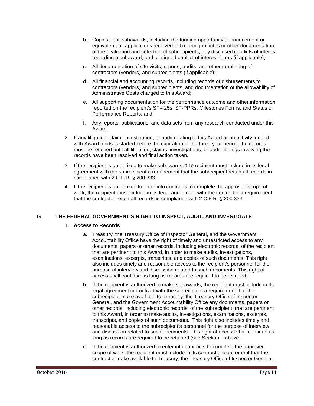- b. Copies of all subawards, including the funding opportunity announcement or equivalent, all applications received, all meeting minutes or other documentation of the evaluation and selection of subrecipients, any disclosed conflicts of interest regarding a subaward, and all signed conflict of interest forms (if applicable);
- c. All documentation of site visits, reports, audits, and other monitoring of contractors (vendors) and subrecipients (if applicable);
- d. All financial and accounting records, including records of disbursements to contractors (vendors) and subrecipients, and documentation of the allowability of Administrative Costs charged to this Award;
- e. All supporting documentation for the performance outcome and other information reported on the recipient's SF-425s, SF-PPRs, Milestones Forms, and Status of Performance Reports; and
- f. Any reports, publications, and data sets from any research conducted under this Award.
- 2. If any litigation, claim, investigation, or audit relating to this Award or an activity funded with Award funds is started before the expiration of the three year period, the records must be retained until all litigation, claims, investigations, or audit findings involving the records have been resolved and final action taken.
- 3. If the recipient is authorized to make subawards, the recipient must include in its legal agreement with the subrecipient a requirement that the subrecipient retain all records in compliance with 2 C.F.R. § 200.333.
- 4. If the recipient is authorized to enter into contracts to complete the approved scope of work, the recipient must include in its legal agreement with the contractor a requirement that the contractor retain all records in compliance with 2 C.F.R. § 200.333.

# <span id="page-12-0"></span>**G THE FEDERAL GOVERNMENT'S RIGHT TO INSPECT, AUDIT, AND INVESTIGATE**

#### **1. Access to Records**

- a. Treasury, the Treasury Office of Inspector General, and the Government Accountability Office have the right of timely and unrestricted access to any documents, papers or other records, including electronic records, of the recipient that are pertinent to this Award, in order to make audits, investigations, examinations, excerpts, transcripts, and copies of such documents. This right also includes timely and reasonable access to the recipient's personnel for the purpose of interview and discussion related to such documents. This right of access shall continue as long as records are required to be retained.
- b. If the recipient is authorized to make subawards, the recipient must include in its legal agreement or contract with the subrecipient a requirement that the subrecipient make available to Treasury, the Treasury Office of Inspector General, and the Government Accountability Office any documents, papers or other records, including electronic records, of the subrecipient, that are pertinent to this Award, in order to make audits, investigations, examinations, excerpts, transcripts, and copies of such documents. This right also includes timely and reasonable access to the subrecipient's personnel for the purpose of interview and discussion related to such documents. This right of access shall continue as long as records are required to be retained (see Section F above).
- c. If the recipient is authorized to enter into contracts to complete the approved scope of work, the recipient must include in its contract a requirement that the contractor make available to Treasury, the Treasury Office of Inspector General,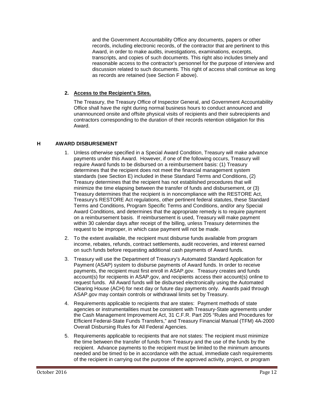and the Government Accountability Office any documents, papers or other records, including electronic records, of the contractor that are pertinent to this Award, in order to make audits, investigations, examinations, excerpts, transcripts, and copies of such documents. This right also includes timely and reasonable access to the contractor's personnel for the purpose of interview and discussion related to such documents. This right of access shall continue as long as records are retained (see Section F above).

# **2. Access to the Recipient's Sites.**

The Treasury, the Treasury Office of Inspector General, and Government Accountability Office shall have the right during normal business hours to conduct announced and unannounced onsite and offsite physical visits of recipients and their subrecipients and contractors corresponding to the duration of their records retention obligation for this Award.

# <span id="page-13-0"></span>**H AWARD DISBURSEMENT**

- 1. Unless otherwise specified in a Special Award Condition, Treasury will make advance payments under this Award. However, if one of the following occurs, Treasury will require Award funds to be disbursed on a reimbursement basis: (1) Treasury determines that the recipient does not meet the financial management system standards (see Section E) included in these Standard Terms and Conditions, (2) Treasury determines that the recipient has not established procedures that will minimize the time elapsing between the transfer of funds and disbursement, or (3) Treasury determines that the recipient is in noncompliance with the RESTORE Act, Treasury's RESTORE Act regulations, other pertinent federal statutes, these Standard Terms and Conditions, Program Specific Terms and Conditions, and/or any Special Award Conditions, and determines that the appropriate remedy is to require payment on a reimbursement basis. If reimbursement is used, Treasury will make payment within 30 calendar days after receipt of the billing, unless Treasury determines the request to be improper, in which case payment will not be made.
- 2. To the extent available, the recipient must disburse funds available from program income, rebates, refunds, contract settlements, audit recoveries, and interest earned on such funds before requesting additional cash payments of Award funds.
- 3. Treasury will use the Department of Treasury's Automated Standard Application for Payment (ASAP) system to disburse payments of Award funds. In order to receive payments, the recipient must first enroll in ASAP.gov. Treasury creates and funds account(s) for recipients in ASAP.gov, and recipients access their account(s) online to request funds. All Award funds will be disbursed electronically using the Automated Clearing House (ACH) for next day or future day payments only. Awards paid through ASAP.gov may contain controls or withdrawal limits set by Treasury.
- 4. Requirements applicable to recipients that are states: Payment methods of state agencies or instrumentalities must be consistent with Treasury-State agreements under the Cash Management Improvement Act, 31 C.F.R. Part 205 "Rules and Procedures for Efficient Federal-State Funds Transfers," and Treasury Financial Manual (TFM) 4A-2000 Overall Disbursing Rules for All Federal Agencies.
- 5. Requirements applicable to recipients that are not states: The recipient must minimize the time between the transfer of funds from Treasury and the use of the funds by the recipient. Advance payments to the recipient must be limited to the minimum amounts needed and be timed to be in accordance with the actual, immediate cash requirements of the recipient in carrying out the purpose of the approved activity, project, or program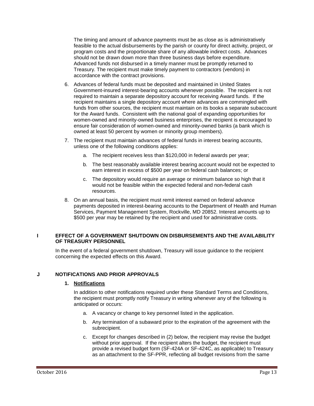The timing and amount of advance payments must be as close as is administratively feasible to the actual disbursements by the parish or county for direct activity, project, or program costs and the proportionate share of any allowable indirect costs. Advances should not be drawn down more than three business days before expenditure. Advanced funds not disbursed in a timely manner must be promptly returned to Treasury. The recipient must make timely payment to contractors (vendors) in accordance with the contract provisions.

- 6. Advances of federal funds must be deposited and maintained in United States Government-insured interest-bearing accounts whenever possible. The recipient is not required to maintain a separate depository account for receiving Award funds. If the recipient maintains a single depository account where advances are commingled with funds from other sources, the recipient must maintain on its books a separate subaccount for the Award funds. Consistent with the national goal of expanding opportunities for women-owned and minority-owned business enterprises, the recipient is encouraged to ensure fair consideration of women-owned and minority-owned banks (a bank which is owned at least 50 percent by women or minority group members).
- 7. The recipient must maintain advances of federal funds in interest bearing accounts, unless one of the following conditions applies:
	- a. The recipient receives less than \$120,000 in federal awards per year;
	- b. The best reasonably available interest bearing account would not be expected to earn interest in excess of \$500 per year on federal cash balances; or
	- c. The depository would require an average or minimum balance so high that it would not be feasible within the expected federal and non-federal cash resources.
- 8. On an annual basis, the recipient must remit interest earned on federal advance payments deposited in interest-bearing accounts to the Department of Health and Human Services, Payment Management System, Rockville, MD 20852. Interest amounts up to \$500 per year may be retained by the recipient and used for administrative costs.

# <span id="page-14-0"></span>**I EFFECT OF A GOVERNMENT SHUTDOWN ON DISBURSEMENTS AND THE AVAILABILITY OF TREASURY PERSONNEL**

In the event of a federal government shutdown, Treasury will issue guidance to the recipient concerning the expected effects on this Award.

# <span id="page-14-1"></span>**J NOTIFICATIONS AND PRIOR APPROVALS**

# **1. Notifications**

In addition to other notifications required under these Standard Terms and Conditions, the recipient must promptly notify Treasury in writing whenever any of the following is anticipated or occurs:

- a. A vacancy or change to key personnel listed in the application.
- b. Any termination of a subaward prior to the expiration of the agreement with the subrecipient.
- c. Except for changes described in (2) below, the recipient may revise the budget without prior approval. If the recipient alters the budget, the recipient must provide a revised budget form (SF-424A or SF-424C, as applicable) to Treasury as an attachment to the SF-PPR, reflecting all budget revisions from the same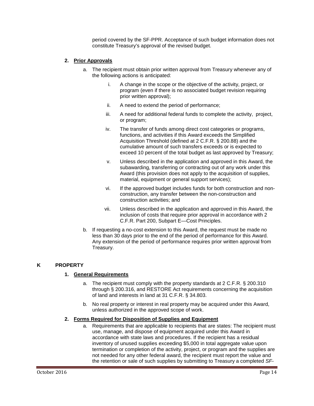period covered by the SF-PPR. Acceptance of such budget information does not constitute Treasury's approval of the revised budget.

# **2. Prior Approvals**

- a. The recipient must obtain prior written approval from Treasury whenever any of the following actions is anticipated:
	- i. A change in the scope or the objective of the activity, project, or program (even if there is no associated budget revision requiring prior written approval);
	- ii. A need to extend the period of performance;
	- iii. A need for additional federal funds to complete the activity, project, or program;
	- iv. The transfer of funds among direct cost categories or programs, functions, and activities if this Award exceeds the Simplified Acquisition Threshold (defined at 2 C.F.R. § 200.88) and the cumulative amount of such transfers exceeds or is expected to exceed 10 percent of the total budget as last approved by Treasury;
	- v. Unless described in the application and approved in this Award, the subawarding, transferring or contracting out of any work under this Award (this provision does not apply to the acquisition of supplies, material, equipment or general support services);
	- vi. If the approved budget includes funds for both construction and nonconstruction, any transfer between the non-construction and construction activities; and
	- vii. Unless described in the application and approved in this Award, the inclusion of costs that require prior approval in accordance with 2 C.F.R. Part 200, Subpart E—Cost Principles.
- b. If requesting a no-cost extension to this Award, the request must be made no less than 30 days prior to the end of the period of performance for this Award. Any extension of the period of performance requires prior written approval from Treasury.

# <span id="page-15-0"></span>**K PROPERTY**

# **1. General Requirements**

- a. The recipient must comply with the property standards at 2 C.F.R. § 200.310 through § 200.316, and RESTORE Act requirements concerning the acquisition of land and interests in land at 31 C.F.R. § 34.803.
- b. No real property or interest in real property may be acquired under this Award, unless authorized in the approved scope of work.

# **2. Forms Required for Disposition of Supplies and Equipment**

a. Requirements that are applicable to recipients that are states: The recipient must use, manage, and dispose of equipment acquired under this Award in accordance with state laws and procedures. If the recipient has a residual inventory of unused supplies exceeding \$5,000 in total aggregate value upon termination or completion of the activity, project, or program and the supplies are not needed for any other federal award, the recipient must report the value and the retention or sale of such supplies by submitting to Treasury a completed *SF-*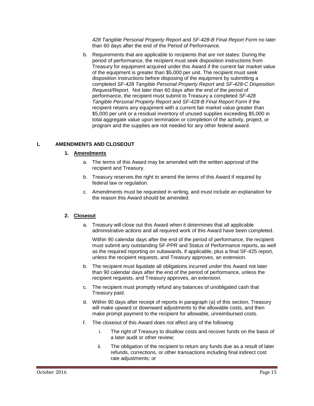*428 Tangible Personal Property Report* and *SF-428-B Final Report Form* no later than 60 days after the end of the Period of Performance*.*

b. Requirements that are applicable to recipients that are not states: During the period of performance, the recipient must seek disposition instructions from Treasury for equipment acquired under this Award if the current fair market value of the equipment is greater than \$5,000 per unit. The recipient must seek disposition instructions before disposing of the equipment by submitting a completed *SF-428 Tangible Personal Property Report* and *SF-428-C Disposition Request/Report*. Not later than 60 days after the end of the period of performance, the recipient must submit to Treasury a completed *SF-428 Tangible Personal Property Report* and *SF-428-B Final Report Form* if the recipient retains any equipment with a current fair market value greater than \$5,000 per unit or a residual inventory of unused supplies exceeding \$5,000 in total aggregate value upon termination or completion of the activity, project, or program and the supplies are not needed for any other federal award.

# <span id="page-16-0"></span>**L AMENDMENTS AND CLOSEOUT**

#### **1. Amendments**

- a. The terms of this Award may be amended with the written approval of the recipient and Treasury.
- b. Treasury reserves the right to amend the terms of this Award if required by federal law or regulation.
- c. Amendments must be requested in writing, and must include an explanation for the reason this Award should be amended.

# **2. Closeout**

a. Treasury will close out this Award when it determines that all applicable administrative actions and all required work of this Award have been completed.

Within 90 calendar days after the end of the period of performance, the recipient must submit any outstanding SF-PPR and Status of Performance reports, as well as the required reporting on subawards, if applicable, plus a final SF-425 report, unless the recipient requests, and Treasury approves, an extension.

- b. The recipient must liquidate all obligations incurred under this Award not later than 90 calendar days after the end of the period of performance, unless the recipient requests, and Treasury approves, an extension.
- c. The recipient must promptly refund any balances of unobligated cash that Treasury paid.
- d. Within 90 days after receipt of reports in paragraph (a) of this section, Treasury will make upward or downward adjustments to the allowable costs, and then make prompt payment to the recipient for allowable, unreimbursed costs.
- f. The closeout of this Award does not affect any of the following:
	- i. The right of Treasury to disallow costs and recover funds on the basis of a later audit or other review;
	- ii. The obligation of the recipient to return any funds due as a result of later refunds, corrections, or other transactions including final indirect cost rate adjustments; or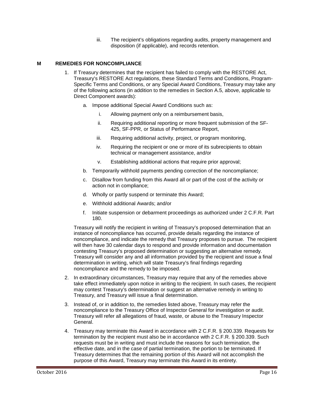iii. The recipient's obligations regarding audits, property management and disposition (if applicable), and records retention.

# <span id="page-17-0"></span>**M REMEDIES FOR NONCOMPLIANCE**

- 1. If Treasury determines that the recipient has failed to comply with the RESTORE Act, Treasury's RESTORE Act regulations, these Standard Terms and Conditions, Program-Specific Terms and Conditions, or any Special Award Conditions, Treasury may take any of the following actions (in addition to the remedies in Section A.5, above, applicable to Direct Component awards):
	- a. Impose additional Special Award Conditions such as:
		- i. Allowing payment only on a reimbursement basis,
		- ii. Requiring additional reporting or more frequent submission of the SF-425, SF-PPR, or Status of Performance Report,
		- iii. Requiring additional activity, project, or program monitoring,
		- iv. Requiring the recipient or one or more of its subrecipients to obtain technical or management assistance, and/or
		- v. Establishing additional actions that require prior approval;
	- b. Temporarily withhold payments pending correction of the noncompliance;
	- c. Disallow from funding from this Award all or part of the cost of the activity or action not in compliance;
	- d. Wholly or partly suspend or terminate this Award;
	- e. Withhold additional Awards; and/or
	- f. Initiate suspension or debarment proceedings as authorized under 2 C.F.R. Part 180.

Treasury will notify the recipient in writing of Treasury's proposed determination that an instance of noncompliance has occurred, provide details regarding the instance of noncompliance, and indicate the remedy that Treasury proposes to pursue. The recipient will then have 30 calendar days to respond and provide information and documentation contesting Treasury's proposed determination or suggesting an alternative remedy. Treasury will consider any and all information provided by the recipient and issue a final determination in writing, which will state Treasury's final findings regarding noncompliance and the remedy to be imposed.

- 2. In extraordinary circumstances, Treasury may require that any of the remedies above take effect immediately upon notice in writing to the recipient. In such cases, the recipient may contest Treasury's determination or suggest an alternative remedy in writing to Treasury, and Treasury will issue a final determination.
- 3. Instead of, or in addition to, the remedies listed above, Treasury may refer the noncompliance to the Treasury Office of Inspector General for investigation or audit. Treasury will refer all allegations of fraud, waste, or abuse to the Treasury Inspector General.
- 4. Treasury may terminate this Award in accordance with 2 C.F.R. § 200.339. Requests for termination by the recipient must also be in accordance with 2 C.F.R. § 200.339. Such requests must be in writing and must include the reasons for such termination, the effective date, and in the case of partial termination, the portion to be terminated. If Treasury determines that the remaining portion of this Award will not accomplish the purpose of this Award, Treasury may terminate this Award in its entirety.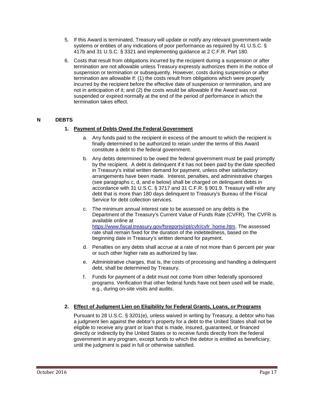- 5. If this Award is terminated, Treasury will update or notify any relevant government-wide systems or entities of any indications of poor performance as required by 41 U.S.C. § 417b and 31 U.S.C. § 3321 and implementing guidance at 2 C.F.R. Part 180.
- 6. Costs that result from obligations incurred by the recipient during a suspension or after termination are not allowable unless Treasury expressly authorizes them in the notice of suspension or termination or subsequently. However, costs during suspension or after termination are allowable if: (1) the costs result from obligations which were properly incurred by the recipient before the effective date of suspension or termination, and are not in anticipation of it; and (2) the costs would be allowable if the Award was not suspended or expired normally at the end of the period of performance in which the termination takes effect.

# <span id="page-18-0"></span>**N DEBTS**

# **1. Payment of Debts Owed the Federal Government**

- a. Any funds paid to the recipient in excess of the amount to which the recipient is finally determined to be authorized to retain under the terms of this Award constitute a debt to the federal government.
- b. Any debts determined to be owed the federal government must be paid promptly by the recipient. A debt is delinquent if it has not been paid by the date specified in Treasury's initial written demand for payment, unless other satisfactory arrangements have been made. Interest, penalties, and administrative charges (see paragraphs c, d, and e below) shall be charged on delinquent debts in accordance with 31 U.S.C. § 3717 and 31 C.F.R. § 901.9. Treasury will refer any debt that is more than 180 days delinquent to Treasury's Bureau of the Fiscal Service for debt collection services.
- c. The minimum annual interest rate to be assessed on any debts is the Department of the Treasury's Current Value of Funds Rate (CVFR). The CVFR is available online at [https://www.fiscal.treasury.gov/fsreports/rpt/cvfr/cvfr\\_home.htm.](https://www.fiscal.treasury.gov/fsreports/rpt/cvfr/cvfr_home.htm) The assessed rate shall remain fixed for the duration of the indebtedness, based on the beginning date in Treasury's written demand for payment.
- d. Penalties on any debts shall accrue at a rate of not more than 6 percent per year or such other higher rate as authorized by law.
- e. Administrative charges, that is, the costs of processing and handling a delinquent debt, shall be determined by Treasury.
- f. Funds for payment of a debt must not come from other federally sponsored programs. Verification that other federal funds have not been used will be made, e.g., during on-site visits and audits.

# **2. Effect of Judgment Lien on Eligibility for Federal Grants, Loans, or Programs**

Pursuant to 28 U.S.C. § 3201(e), unless waived in writing by Treasury, a debtor who has a judgment lien against the debtor's property for a debt to the United States shall not be eligible to receive any grant or loan that is made, insured, guaranteed, or financed directly or indirectly by the United States or to receive funds directly from the federal government in any program, except funds to which the debtor is entitled as beneficiary, until the judgment is paid in full or otherwise satisfied.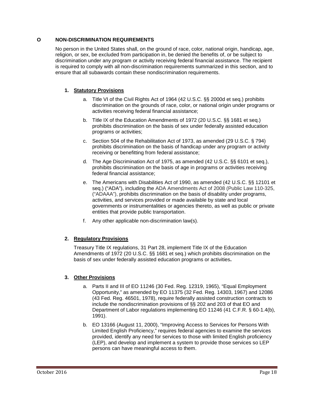# <span id="page-19-0"></span>**O NON-DISCRIMINATION REQUIREMENTS**

No person in the United States shall, on the ground of race, color, national origin, handicap, age, religion, or sex, be excluded from participation in, be denied the benefits of, or be subject to discrimination under any program or activity receiving federal financial assistance. The recipient is required to comply with all non-discrimination requirements summarized in this section, and to ensure that all subawards contain these nondiscrimination requirements.

# **1. Statutory Provisions**

- a. Title VI of the Civil Rights Act of 1964 (42 U.S.C. §§ 2000d et seq.) prohibits discrimination on the grounds of race, color, or national origin under programs or activities receiving federal financial assistance;
- b. Title IX of the Education Amendments of 1972 (20 U.S.C. §§ 1681 et seq.) prohibits discrimination on the basis of sex under federally assisted education programs or activities;
- c. Section 504 of the Rehabilitation Act of 1973, as amended (29 U.S.C. § 794) prohibits discrimination on the basis of handicap under any program or activity receiving or benefitting from federal assistance;
- d. The Age Discrimination Act of 1975, as amended (42 U.S.C. §§ 6101 et seq.), prohibits discrimination on the basis of age in programs or activities receiving federal financial assistance;
- e. The Americans with Disabilities Act of 1990, as amended (42 U.S.C. §§ 12101 et seq.) ("ADA"), including the ADA Amendments Act of 2008 (Public Law 110-325, ("ADAAA"), prohibits discrimination on the basis of disability under programs, activities, and services provided or made available by state and local governments or instrumentalities or agencies thereto, as well as public or private entities that provide public transportation.
- f. Any other applicable non-discrimination law(s).

# **2. Regulatory Provisions**

Treasury Title IX regulations, 31 Part 28, implement Title IX of the Education Amendments of 1972 (20 U.S.C. §§ 1681 et seq.) which prohibits discrimination on the basis of sex under federally assisted education programs or activities**.**

# **3. Other Provisions**

- a. Parts II and III of EO 11246 (30 Fed. Reg. 12319, 1965), "Equal Employment Opportunity," as amended by EO 11375 (32 Fed. Reg. 14303, 1967) and 12086 (43 Fed. Reg. 46501, 1978), require federally assisted construction contracts to include the nondiscrimination provisions of §§ 202 and 203 of that EO and Department of Labor regulations implementing EO 11246 (41 C.F.R. § 60-1.4(b), 1991).
- b. EO 13166 (August 11, 2000), "Improving Access to Services for Persons With Limited English Proficiency," requires federal agencies to examine the services provided, identify any need for services to those with limited English proficiency (LEP), and develop and implement a system to provide those services so LEP persons can have meaningful access to them.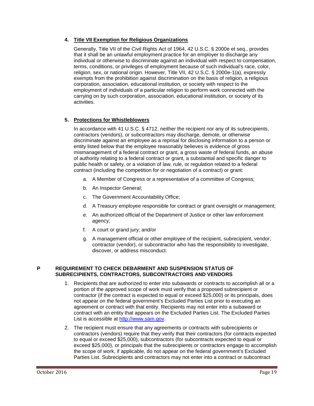# **4. Title VII Exemption for Religious Organizations**

Generally, Title VII of the Civil Rights Act of 1964, 42 U.S.C. § 2000e et seq., provides that it shall be an unlawful employment practice for an employer to discharge any individual or otherwise to discriminate against an individual with respect to compensation, terms, conditions, or privileges of employment because of such individual's race, color, religion, sex, or national origin. However, Title VII, 42 U.S.C. § 2000e-1(a), expressly exempts from the prohibition against discrimination on the basis of religion, a religious corporation, association, educational institution, or society with respect to the employment of individuals of a particular religion to perform work connected with the carrying on by such corporation, association, educational institution, or society of its activities.

# **5. Protections for Whistleblowers**

In accordance with 41 U.S.C. § 4712, neither the recipient nor any of its subrecipients, contractors (vendors), or subcontractors may discharge, demote, or otherwise discriminate against an employee as a reprisal for disclosing information to a person or entity listed below that the employee reasonably believes is evidence of gross mismanagement of a federal contract or grant, a gross waste of federal funds, an abuse of authority relating to a federal contract or grant, a substantial and specific danger to public health or safety, or a violation of law, rule, or regulation related to a federal contract (including the competition for or negotiation of a contract) or grant:

- a. A Member of Congress or a representative of a committee of Congress;
- b. An Inspector General;
- c. The Government Accountability Office;
- d. A Treasury employee responsible for contract or grant oversight or management;
- e. An authorized official of the Department of Justice or other law enforcement agency;
- f. A court or grand jury; and/or
- g. A management official or other employee of the recipient, subrecipient, vendor, contractor (vendor), or subcontractor who has the responsibility to investigate, discover, or address misconduct.

#### <span id="page-20-0"></span>**P REQUIREMENT TO CHECK DEBARMENT AND SUSPENSION STATUS OF SUBRECIPIENTS, CONTRACTORS, SUBCONTRACTORS AND VENDORS**

- 1. Recipients that are authorized to enter into subawards or contracts to accomplish all or a portion of the approved scope of work must verify that a proposed subrecipient or contractor (if the contract is expected to equal or exceed \$25,000) or its principals, does not appear on the federal government's Excluded Parties List prior to executing an agreement or contract with that entity. Recipients may not enter into a subaward or contract with an entity that appears on the Excluded Parties List. The Excluded Parties List is accessible at [http://www.sam.gov.](http://www.sam.gov/)
- 2. The recipient must ensure that any agreements or contracts with subrecipients or contractors (vendors) require that they verify that their contractors (for contracts expected to equal or exceed \$25,000), subcontractors (for subcontracts expected to equal or exceed \$25,000), or principals that the subrecipients or contractors engage to accomplish the scope of work, if applicable, do not appear on the federal government's Excluded Parties List. Subrecipients and contractors may not enter into a contract or subcontract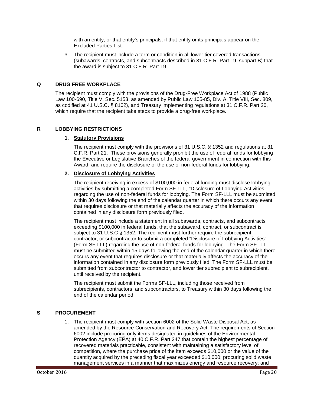with an entity, or that entity's principals, if that entity or its principals appear on the Excluded Parties List.

3. The recipient must include a term or condition in all lower tier covered transactions (subawards, contracts, and subcontracts described in 31 C.F.R. Part 19, subpart B) that the award is subject to 31 C.F.R. Part 19.

### <span id="page-21-0"></span>**Q DRUG FREE WORKPLACE**

The recipient must comply with the provisions of the Drug-Free Workplace Act of 1988 (Public Law 100-690, Title V, Sec. 5153, as amended by Public Law 105-85, Div. A, Title VIII, Sec. 809, as codified at 41 U.S.C. § 8102), and Treasury implementing regulations at 31 C.F.R. Part 20, which require that the recipient take steps to provide a drug-free workplace.

#### <span id="page-21-1"></span>**R LOBBYING RESTRICTIONS**

#### **1. Statutory Provisions**

The recipient must comply with the provisions of 31 U.S.C. § 1352 and regulations at 31 C.F.R. Part 21. These provisions generally prohibit the use of federal funds for lobbying the Executive or Legislative Branches of the federal government in connection with this Award, and require the disclosure of the use of non-federal funds for lobbying.

#### **2. Disclosure of Lobbying Activities**

The recipient receiving in excess of \$100,000 in federal funding must disclose lobbying activities by submitting a completed Form SF-LLL, "Disclosure of Lobbying Activities," regarding the use of non-federal funds for lobbying. The Form SF-LLL must be submitted within 30 days following the end of the calendar quarter in which there occurs any event that requires disclosure or that materially affects the accuracy of the information contained in any disclosure form previously filed.

The recipient must include a statement in all subawards, contracts, and subcontracts exceeding \$100,000 in federal funds, that the subaward, contract, or subcontract is subject to 31 U.S.C § 1352. The recipient must further require the subrecipient, contractor, or subcontractor to submit a completed "Disclosure of Lobbying Activities" (Form SF-LLL) regarding the use of non-federal funds for lobbying. The Form SF-LLL must be submitted within 15 days following the end of the calendar quarter in which there occurs any event that requires disclosure or that materially affects the accuracy of the information contained in any disclosure form previously filed. The Form SF-LLL must be submitted from subcontractor to contractor, and lower tier subrecipient to subrecipient, until received by the recipient.

The recipient must submit the Forms SF-LLL, including those received from subrecipients, contractors, and subcontractors, to Treasury within 30 days following the end of the calendar period.

# <span id="page-21-2"></span>**S PROCUREMENT**

1. The recipient must comply with section 6002 of the Solid Waste Disposal Act, as amended by the Resource Conservation and Recovery Act. The requirements of Section 6002 include procuring only items designated in guidelines of the Environmental Protection Agency (EPA) at 40 C.F.R. Part 247 that contain the highest percentage of recovered materials practicable, consistent with maintaining a satisfactory level of competition, where the purchase price of the item exceeds \$10,000 or the value of the quantity acquired by the preceding fiscal year exceeded \$10,000; procuring solid waste management services in a manner that maximizes energy and resource recovery; and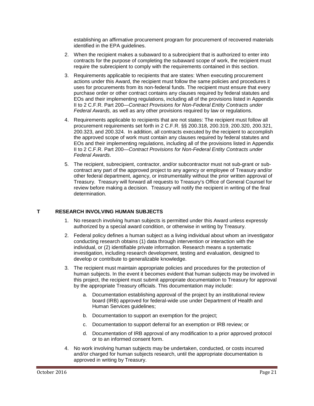establishing an affirmative procurement program for procurement of recovered materials identified in the EPA guidelines.

- 2. When the recipient makes a subaward to a subrecipient that is authorized to enter into contracts for the purpose of completing the subaward scope of work, the recipient must require the subrecipient to comply with the requirements contained in this section.
- 3. Requirements applicable to recipients that are states: When executing procurement actions under this Award, the recipient must follow the same policies and procedures it uses for procurements from its non-federal funds. The recipient must ensure that every purchase order or other contract contains any clauses required by federal statutes and EOs and their implementing regulations, including all of the provisions listed in Appendix II to 2 C.F.R. Part 200—*Contract Provisions for Non-Federal Entity Contracts under Federal Awards,* as well as any other provisions required by law or regulations.
- 4. Requirements applicable to recipients that are not states: The recipient must follow all procurement requirements set forth in 2 C.F.R. §§ 200.318, 200.319, 200.320, 200.321, 200.323, and 200.324. In addition, all contracts executed by the recipient to accomplish the approved scope of work must contain any clauses required by federal statutes and EOs and their implementing regulations, including all of the provisions listed in Appendix II to 2 C.F.R. Part 200—*Contract Provisions for Non-Federal Entity Contracts under Federal Awards*.
- 5. The recipient, subrecipient, contractor, and/or subcontractor must not sub-grant or subcontract any part of the approved project to any agency or employee of Treasury and/or other federal department, agency, or instrumentality without the prior written approval of Treasury. Treasury will forward all requests to Treasury's Office of General Counsel for review before making a decision. Treasury will notify the recipient in writing of the final determination.

# <span id="page-22-0"></span>**T RESEARCH INVOLVING HUMAN SUBJECTS**

- 1. No research involving human subjects is permitted under this Award unless expressly authorized by a special award condition, or otherwise in writing by Treasury.
- 2. Federal policy defines a human subject as a living individual about whom an investigator conducting research obtains (1) data through intervention or interaction with the individual, or (2) identifiable private information. Research means a systematic investigation, including research development, testing and evaluation, designed to develop or contribute to generalizable knowledge.
- 3. The recipient must maintain appropriate policies and procedures for the protection of human subjects. In the event it becomes evident that human subjects may be involved in this project, the recipient must submit appropriate documentation to Treasury for approval by the appropriate Treasury officials. This documentation may include:
	- a. Documentation establishing approval of the project by an institutional review board (IRB) approved for federal-wide use under Department of Health and Human Services guidelines;
	- b. Documentation to support an exemption for the project;
	- c. Documentation to support deferral for an exemption or IRB review; or
	- d. Documentation of IRB approval of any modification to a prior approved protocol or to an informed consent form.
- 4. No work involving human subjects may be undertaken, conducted, or costs incurred and/or charged for human subjects research, until the appropriate documentation is approved in writing by Treasury.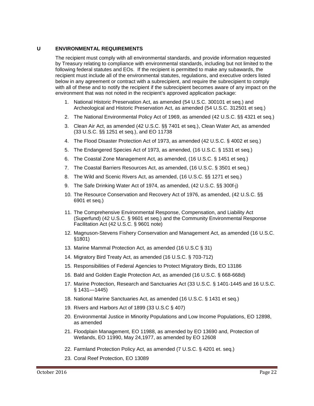# <span id="page-23-0"></span>**U ENVIRONMENTAL REQUIREMENTS**

The recipient must comply with all environmental standards, and provide information requested by Treasury relating to compliance with environmental standards, including but not limited to the following federal statutes and EOs. If the recipient is permitted to make any subawards, the recipient must include all of the environmental statutes, regulations, and executive orders listed below in any agreement or contract with a subrecipient, and require the subrecipient to comply with all of these and to notify the recipient if the subrecipient becomes aware of any impact on the environment that was not noted in the recipient's approved application package:

- 1. National Historic Preservation Act, as amended (54 U.S.C. 300101 et seq.) and Archeological and Historic Preservation Act, as amended (54 U.S.C. 312501 et seq.)
- 2. The National Environmental Policy Act of 1969, as amended (42 U.S.C. §§ 4321 et seq.)
- 3. Clean Air Act, as amended (42 U.S.C. §§ 7401 et seq.), Clean Water Act, as amended (33 U.S.C. §§ 1251 et seq.), and EO 11738
- 4. The Flood Disaster Protection Act of 1973, as amended (42 U.S.C. § 4002 et seq.)
- 5. The Endangered Species Act of 1973, as amended, (16 U.S.C. § 1531 et seq.)
- 6. The Coastal Zone Management Act, as amended, (16 U.S.C. § 1451 et seq.)
- 7. The Coastal Barriers Resources Act, as amended, (16 U.S.C. § 3501 et seq.)
- 8. The Wild and Scenic Rivers Act, as amended, (16 U.S.C. §§ 1271 et seq.)
- 9. The Safe Drinking Water Act of 1974, as amended, (42 U.S.C. §§ 300f-j)
- 10. The Resource Conservation and Recovery Act of 1976, as amended, (42 U.S.C. §§ 6901 et seq.)
- 11. The Comprehensive Environmental Response, Compensation, and Liability Act (Superfund) (42 U.S.C. § 9601 et seq.) and the Community Environmental Response Facilitation Act (42 U.S.C. § 9601 note)
- 12. Magnuson-Stevens Fishery Conservation and Management Act, as amended (16 U.S.C. §1801)
- 13. Marine Mammal Protection Act, as amended (16 U.S.C § 31)
- 14. Migratory Bird Treaty Act, as amended (16 U.S.C. § 703-712)
- 15. Responsibilities of Federal Agencies to Protect Migratory Birds, EO 13186
- 16. Bald and Golden Eagle Protection Act, as amended (16 U.S.C. § 668-668d)
- 17. Marine Protection, Research and Sanctuaries Act (33 U.S.C. § 1401-1445 and 16 U.S.C. § 1431—1445)
- 18. National Marine Sanctuaries Act, as amended (16 U.S.C. § 1431 et seq.)
- 19. Rivers and Harbors Act of 1899 (33 U.S.C § 407)
- 20. Environmental Justice in Minority Populations and Low Income Populations, EO 12898, as amended
- 21. Floodplain Management, EO 11988, as amended by EO 13690 and, Protection of Wetlands, EO 11990, May 24,1977, as amended by EO 12608
- 22. Farmland Protection Policy Act, as amended (7 U.S.C. § 4201 et. seq.)
- 23. Coral Reef Protection, EO 13089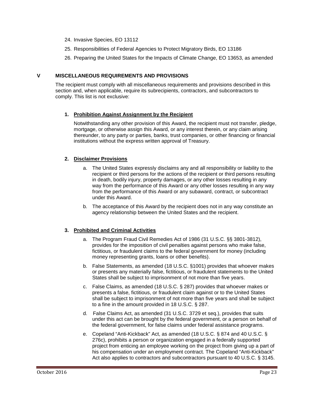- 24. Invasive Species, EO 13112
- 25. Responsibilities of Federal Agencies to Protect Migratory Birds, EO 13186
- 26. Preparing the United States for the Impacts of Climate Change, EO 13653, as amended

#### <span id="page-24-0"></span>**V MISCELLANEOUS REQUIREMENTS AND PROVISIONS**

The recipient must comply with all miscellaneous requirements and provisions described in this section and, when applicable, require its subrecipients, contractors, and subcontractors to comply. This list is not exclusive:

#### **1. Prohibition Against Assignment by the Recipient**

Notwithstanding any other provision of this Award, the recipient must not transfer, pledge, mortgage, or otherwise assign this Award, or any interest therein, or any claim arising thereunder, to any party or parties, banks, trust companies, or other financing or financial institutions without the express written approval of Treasury.

#### **2. Disclaimer Provisions**

- a. The United States expressly disclaims any and all responsibility or liability to the recipient or third persons for the actions of the recipient or third persons resulting in death, bodily injury, property damages, or any other losses resulting in any way from the performance of this Award or any other losses resulting in any way from the performance of this Award or any subaward, contract, or subcontract under this Award.
- b. The acceptance of this Award by the recipient does not in any way constitute an agency relationship between the United States and the recipient.

# **3. Prohibited and Criminal Activities**

- a. The Program Fraud Civil Remedies Act of 1986 (31 U.S.C. §§ 3801-3812), provides for the imposition of civil penalties against persons who make false, fictitious, or fraudulent claims to the federal government for money (including money representing grants, loans or other benefits).
- b. False Statements, as amended (18 U.S.C. §1001) provides that whoever makes or presents any materially false, fictitious, or fraudulent statements to the United States shall be subject to imprisonment of not more than five years.
- c. False Claims, as amended (18 U.S.C. § 287) provides that whoever makes or presents a false, fictitious, or fraudulent claim against or to the United States shall be subject to imprisonment of not more than five years and shall be subject to a fine in the amount provided in 18 U.S.C. § 287.
- d. False Claims Act, as amended (31 U.S.C. 3729 et seq.), provides that suits under this act can be brought by the federal government, or a person on behalf of the federal government, for false claims under federal assistance programs.
- e. Copeland "Anti-Kickback" Act, as amended (18 U.S.C. § 874 and 40 U.S.C. § 276c), prohibits a person or organization engaged in a federally supported project from enticing an employee working on the project from giving up a part of his compensation under an employment contract. The Copeland "Anti-Kickback" Act also applies to contractors and subcontractors pursuant to 40 U.S.C. § 3145.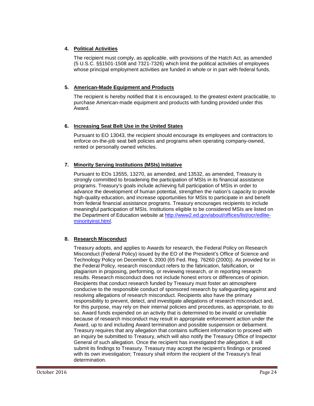# **4. Political Activities**

The recipient must comply, as applicable, with provisions of the Hatch Act, as amended (5 U.S.C. §§1501-1508 and 7321-7326) which limit the political activities of employees whose principal employment activities are funded in whole or in part with federal funds.

# **5. American-Made Equipment and Products**

The recipient is hereby notified that it is encouraged, to the greatest extent practicable, to purchase American-made equipment and products with funding provided under this Award.

# **6. Increasing Seat Belt Use in the United States**

Pursuant to EO 13043, the recipient should encourage its employees and contractors to enforce on-the-job seat belt policies and programs when operating company-owned, rented or personally owned vehicles.

# **7. Minority Serving Institutions (MSIs) Initiative**

Pursuant to EOs 13555, 13270, as amended, and 13532, as amended, Treasury is strongly committed to broadening the participation of MSIs in its financial assistance programs. Treasury's goals include achieving full participation of MSIs in order to advance the development of human potential, strengthen the nation's capacity to provide high-quality education, and increase opportunities for MSIs to participate in and benefit from federal financial assistance programs. Treasury encourages recipients to include meaningful participation of MSIs. Institutions eligible to be considered MSIs are listed on the Department of Education website at [http://www2.ed.gov/about/offices/list/ocr/edlite](http://www2.ed.gov/about/offices/list/ocr/edlite-minorityinst.html)[minorityinst.html.](http://www2.ed.gov/about/offices/list/ocr/edlite-minorityinst.html)

# **8. Research Misconduct**

Treasury adopts, and applies to Awards for research, the Federal Policy on Research Misconduct (Federal Policy) issued by the EO of the President's Office of Science and Technology Policy on December 6, 2000 (65 Fed. Reg. 76260 (2000)). As provided for in the Federal Policy, research misconduct refers to the fabrication, falsification, or plagiarism in proposing, performing, or reviewing research, or in reporting research results. Research misconduct does not include honest errors or differences of opinion. Recipients that conduct research funded by Treasury must foster an atmosphere conducive to the responsible conduct of sponsored research by safeguarding against and resolving allegations of research misconduct. Recipients also have the primary responsibility to prevent, detect, and investigate allegations of research misconduct and, for this purpose, may rely on their internal policies and procedures, as appropriate, to do so. Award funds expended on an activity that is determined to be invalid or unreliable because of research misconduct may result in appropriate enforcement action under the Award, up to and including Award termination and possible suspension or debarment. Treasury requires that any allegation that contains sufficient information to proceed with an inquiry be submitted to Treasury, which will also notify the Treasury Office of Inspector General of such allegation. Once the recipient has investigated the allegation, it will submit its findings to Treasury. Treasury may accept the recipient's findings or proceed with its own investigation; Treasury shall inform the recipient of the Treasury's final determination.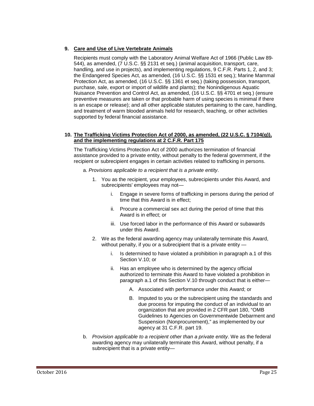# **9. Care and Use of Live Vertebrate Animals**

Recipients must comply with the Laboratory Animal Welfare Act of 1966 (Public Law 89- 544), as amended, (7 U.S.C. §§ 2131 et seq.) (animal acquisition, transport, care, handling, and use in projects), and implementing regulations, 9 C.F.R. Parts 1, 2, and 3; the Endangered Species Act, as amended, (16 U.S.C. §§ 1531 et seq.); Marine Mammal Protection Act, as amended, (16 U.S.C. §§ 1361 et seq.) (taking possession, transport, purchase, sale, export or import of wildlife and plants); the Nonindigenous Aquatic Nuisance Prevention and Control Act, as amended, (16 U.S.C. §§ 4701 et seq.) (ensure preventive measures are taken or that probable harm of using species is minimal if there is an escape or release); and all other applicable statutes pertaining to the care, handling, and treatment of warm blooded animals held for research, teaching, or other activities supported by federal financial assistance.

### **10. The Trafficking Victims Protection Act of 2000, as amended, (22 U.S.C. § 7104(g)), and the implementing regulations at 2 C.F.R. Part 175**

The Trafficking Victims Protection Act of 2000 authorizes termination of financial assistance provided to a private entity, without penalty to the federal government, if the recipient or subrecipient engages in certain activities related to trafficking in persons.

- a. *Provisions applicable to a recipient that is a private entity*.
	- 1. You as the recipient, your employees, subrecipients under this Award, and subrecipients' employees may not
		- i. Engage in severe forms of trafficking in persons during the period of time that this Award is in effect;
		- ii. Procure a commercial sex act during the period of time that this Award is in effect; or
		- iii. Use forced labor in the performance of this Award or subawards under this Award.
	- 2. We as the federal awarding agency may unilaterally terminate this Award, without penalty, if you or a subrecipient that is a private entity
		- i. Is determined to have violated a prohibition in paragraph a.1 of this Section V.10; or
		- ii. Has an employee who is determined by the agency official authorized to terminate this Award to have violated a prohibition in paragraph a.1 of this Section V.10 through conduct that is either—
			- A. Associated with performance under this Award; or
			- B. Imputed to you or the subrecipient using the standards and due process for imputing the conduct of an individual to an organization that are provided in 2 CFR part 180, "OMB Guidelines to Agencies on Governmentwide Debarment and Suspension (Nonprocurement)," as implemented by our agency at 31 C.F.R. part 19.
- b. *Provision applicable to a recipient other than a private entity*. We as the federal awarding agency may unilaterally terminate this Award, without penalty, if a subrecipient that is a private entity—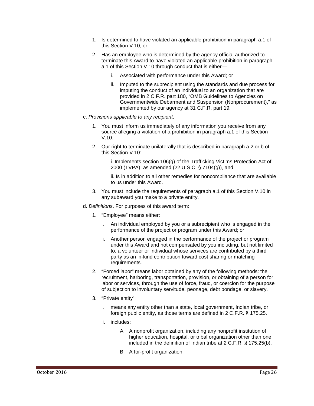- 1. Is determined to have violated an applicable prohibition in paragraph a.1 of this Section V.10; or
- 2. Has an employee who is determined by the agency official authorized to terminate this Award to have violated an applicable prohibition in paragraph a.1 of this Section V.10 through conduct that is either
	- i. Associated with performance under this Award; or
	- ii. Imputed to the subrecipient using the standards and due process for imputing the conduct of an individual to an organization that are provided in 2 C.F.R. part 180, "OMB Guidelines to Agencies on Governmentwide Debarment and Suspension (Nonprocurement)," as implemented by our agency at 31 C.F.R. part 19.
- c. *Provisions applicable to any recipient*.
	- 1. You must inform us immediately of any information you receive from any source alleging a violation of a prohibition in paragraph a.1 of this Section V.10.
	- 2. Our right to terminate unilaterally that is described in paragraph a.2 or b of this Section V.10:

i. Implements section 106(g) of the Trafficking Victims Protection Act of 2000 (TVPA), as amended (22 U.S.C. § 7104(g)), and

ii. Is in addition to all other remedies for noncompliance that are available to us under this Award.

- 3. You must include the requirements of paragraph a.1 of this Section V.10 in any subaward you make to a private entity.
- d. *Definitions*. For purposes of this award term:
	- 1. "Employee" means either:
		- i. An individual employed by you or a subrecipient who is engaged in the performance of the project or program under this Award; or
		- ii. Another person engaged in the performance of the project or program under this Award and not compensated by you including, but not limited to, a volunteer or individual whose services are contributed by a third party as an in-kind contribution toward cost sharing or matching requirements.
	- 2. "Forced labor" means labor obtained by any of the following methods: the recruitment, harboring, transportation, provision, or obtaining of a person for labor or services, through the use of force, fraud, or coercion for the purpose of subjection to involuntary servitude, peonage, debt bondage, or slavery.
	- 3. "Private entity":
		- i. means any entity other than a state, local government, Indian tribe, or foreign public entity, as those terms are defined in 2 C.F.R. § 175.25.
		- ii. includes:
			- A. A nonprofit organization, including any nonprofit institution of higher education, hospital, or tribal organization other than one included in the definition of Indian tribe at 2 C.F.R. § 175.25(b).
			- B. A for-profit organization.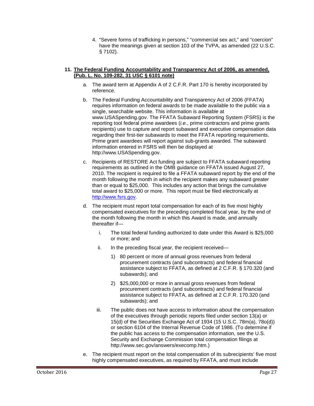4. "Severe forms of trafficking in persons," "commercial sex act," and "coercion" have the meanings given at section 103 of the TVPA, as amended (22 U.S.C. § 7102).

# **11. The Federal Funding Accountability and Transparency Act of 2006, as amended, (Pub. L. No. 109-282, 31 USC § 6101 note)**

- a. The award term at Appendix A of 2 C.F.R. Part 170 is hereby incorporated by reference.
- b. The Federal Funding Accountability and Transparency Act of 2006 (FFATA) requires information on federal awards to be made available to the public via a single, searchable website. This information is available at www.USASpending.gov. The FFATA Subaward Reporting System (FSRS) is the reporting tool federal prime awardees (*i.e*., prime contractors and prime grants recipients) use to capture and report subaward and executive compensation data regarding their first-tier subawards to meet the FFATA reporting requirements. Prime grant awardees will report against sub-grants awarded. The subaward information entered in FSRS will then be displayed at http:/[/www.USASpending.gov.](http://www.usaspending.gov/)
- c. Recipients of RESTORE Act funding are subject to FFATA subaward reporting requirements as outlined in the OMB guidance on FFATA issued August 27, 2010. The recipient is required to file a FFATA subaward report by the end of the month following the month in which the recipient makes any subaward greater than or equal to \$25,000. This includes any action that brings the cumulative total award to \$25,000 or more. This report must be filed electronically at [http://www.fsrs.gov.](http://www.fsrs.gov/)
- d. The recipient must report total compensation for each of its five most highly compensated executives for the preceding completed fiscal year, by the end of the month following the month in which this Award is made, and annually thereafter if
	- i. The total federal funding authorized to date under this Award is \$25,000 or more; and
	- ii. In the preceding fiscal year, the recipient received—
		- 1) 80 percent or more of annual gross revenues from federal procurement contracts (and subcontracts) and federal financial assistance subject to FFATA, as defined at 2 C.F.R. § 170.320 (and subawards); and
		- 2) \$25,000,000 or more in annual gross revenues from federal procurement contracts (and subcontracts) and federal financial assistance subject to FFATA, as defined at 2 C.F.R. 170.320 (and subawards); and
	- iii. The public does not have access to information about the compensation of the executives through periodic reports filed under section 13(a) or 15(d) of the Securities Exchange Act of 1934 (15 U.S.C. 78m(a), 78o(d)) or section 6104 of the Internal Revenue Code of 1986. (To determine if the public has access to the compensation information, see the U.S. Security and Exchange Commission total compensation filings at http://www.sec.gov/answers/execomp.htm.)
- e. The recipient must report on the total compensation of its subrecipients' five most highly compensated executives, as required by FFATA, and must include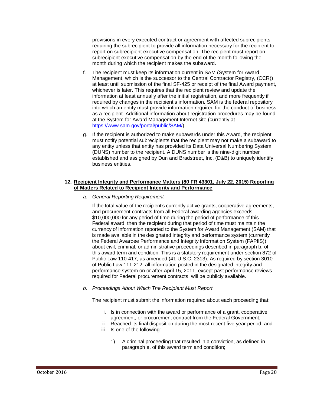provisions in every executed contract or agreement with affected subrecipients requiring the subrecipient to provide all information necessary for the recipient to report on subrecipient executive compensation. The recipient must report on subrecipient executive compensation by the end of the month following the month during which the recipient makes the subaward.

- f. The recipient must keep its information current in SAM (System for Award Management, which is the successor to the Central Contractor Registry, (CCR)) at least until submission of the final SF-425 or receipt of the final Award payment, whichever is later. This requires that the recipient review and update the information at least annually after the initial registration, and more frequently if required by changes in the recipient's information. SAM is the federal repository into which an entity must provide information required for the conduct of business as a recipient. Additional information about registration procedures may be found at the System for Award Management Internet site (currently at [https://www.sam.gov/portal/public/SAM/\)](https://www.sam.gov/portal/public/SAM/).
- g. If the recipient is authorized to make subawards under this Award, the recipient must notify potential subrecipients that the recipient may not make a subaward to any entity unless that entity has provided its Data Universal Numbering System (DUNS) number to the recipient. A DUNS number is the nine-digit number established and assigned by Dun and Bradstreet, Inc. (D&B) to uniquely identify business entities.

# **12. Recipient Integrity and Performance Matters (80 FR 43301, July 22, 2015) Reporting of Matters Related to Recipient Integrity and Performance**

*a. General Reporting Requirement*

If the total value of the recipient's currently active grants, cooperative agreements, and procurement contracts from all Federal awarding agencies exceeds \$10,000,000 for any period of time during the period of performance of this Federal award, then the recipient during that period of time must maintain the currency of information reported to the System for Award Management (SAM) that is made available in the designated integrity and performance system (currently the Federal Awardee Performance and Integrity Information System (FAPIIS)) about civil, criminal, or administrative proceedings described in paragraph b. of this award term and condition. This is a statutory requirement under section 872 of Public Law 110-417, as amended (41 U.S.C. 2313). As required by section 3010 of Public Law 111-212, all information posted in the designated integrity and performance system on or after April 15, 2011, except past performance reviews required for Federal procurement contracts, will be publicly available.

*b. Proceedings About Which The Recipient Must Report*

The recipient must submit the information required about each proceeding that:

- i. Is in connection with the award or performance of a grant, cooperative agreement, or procurement contract from the Federal Government;
- ii. Reached its final disposition during the most recent five year period; and
- iii. Is one of the following:
	- 1) A criminal proceeding that resulted in a conviction, as defined in paragraph e. of this award term and condition;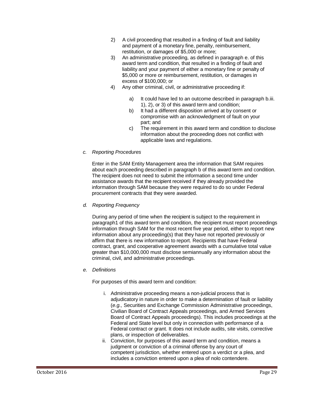- 2) A civil proceeding that resulted in a finding of fault and liability and payment of a monetary fine, penalty, reimbursement, restitution, or damages of \$5,000 or more;
- 3) An administrative proceeding, as defined in paragraph e. of this award term and condition, that resulted in a finding of fault and liability and your payment of either a monetary fine or penalty of \$5,000 or more or reimbursement, restitution, or damages in excess of \$100,000; or
- 4) Any other criminal, civil, or administrative proceeding if:
	- a) It could have led to an outcome described in paragraph b.iii. 1), 2), or 3) of this award term and condition;
	- b) It had a different disposition arrived at by consent or compromise with an acknowledgment of fault on your part; and
	- c) The requirement in this award term and condition to disclose information about the proceeding does not conflict with applicable laws and regulations.
- *c. Reporting Procedures*

Enter in the SAM Entity Management area the information that SAM requires about each proceeding described in paragraph b of this award term and condition. The recipient does not need to submit the information a second time under assistance awards that the recipient received if they already provided the information through SAM because they were required to do so under Federal procurement contracts that they were awarded.

*d. Reporting Frequency*

During any period of time when the recipient is subject to the requirement in paragraph1 of this award term and condition, the recipient must report proceedings information through SAM for the most recent five year period, either to report new information about any proceeding(s) that they have not reported previously or affirm that there is new information to report. Recipients that have Federal contract, grant, and cooperative agreement awards with a cumulative total value greater than \$10,000,000 must disclose semiannually any information about the criminal, civil, and administrative proceedings.

*e. Definitions*

For purposes of this award term and condition:

- i. Administrative proceeding means a non-judicial process that is adjudicatory in nature in order to make a determination of fault or liability (*e.g.,* Securities and Exchange Commission Administrative proceedings, Civilian Board of Contract Appeals proceedings, and Armed Services Board of Contract Appeals proceedings). This includes proceedings at the Federal and State level but only in connection with performance of a Federal contract or grant. It does not include audits, site visits, corrective plans, or inspection of deliverables.
- ii. Conviction, for purposes of this award term and condition, means a judgment or conviction of a criminal offense by any court of competent jurisdiction, whether entered upon a verdict or a plea, and includes a conviction entered upon a plea of nolo contendere.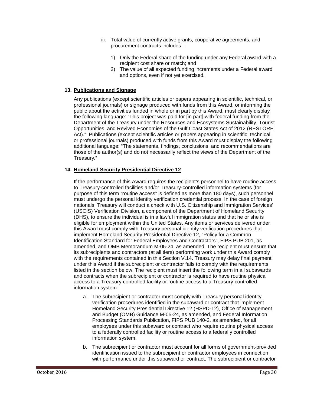- iii. Total value of currently active grants, cooperative agreements, and procurement contracts includes—
	- 1) Only the Federal share of the funding under any Federal award with a recipient cost share or match; and
	- 2) The value of all expected funding increments under a Federal award and options, even if not yet exercised.

# **13. Publications and Signage**

Any publications (except scientific articles or papers appearing in scientific, technical, or professional journals) or signage produced with funds from this Award, or informing the public about the activities funded in whole or in part by this Award, must clearly display the following language: "This project was paid for [in part] with federal funding from the Department of the Treasury under the Resources and Ecosystems Sustainability, Tourist Opportunities, and Revived Economies of the Gulf Coast States Act of 2012 (RESTORE Act)." Publications (except scientific articles or papers appearing in scientific, technical, or professional journals) produced with funds from this Award must display the following additional language: "The statements, findings, conclusions, and recommendations are those of the author(s) and do not necessarily reflect the views of the Department of the Treasury."

# **14. Homeland Security Presidential Directive 12**

If the performance of this Award requires the recipient's personnel to have routine access to Treasury-controlled facilities and/or Treasury-controlled information systems (for purpose of this term "routine access" is defined as more than 180 days), such personnel must undergo the personal identity verification credential process. In the case of foreign nationals, Treasury will conduct a check with U.S. Citizenship and Immigration Services' (USCIS) Verification Division, a component of the Department of Homeland Security (DHS), to ensure the individual is in a lawful immigration status and that he or she is eligible for employment within the United States. Any items or services delivered under this Award must comply with Treasury personal identity verification procedures that implement Homeland Security Presidential Directive 12, "Policy for a Common Identification Standard for Federal Employees and Contractors", FIPS PUB 201, as amended, and OMB Memorandum M-05-24, as amended. The recipient must ensure that its subrecipients and contractors (at all tiers) performing work under this Award comply with the requirements contained in this Section V.14. Treasury may delay final payment under this Award if the subrecipient or contractor fails to comply with the requirements listed in the section below. The recipient must insert the following term in all subawards and contracts when the subrecipient or contractor is required to have routine physical access to a Treasury-controlled facility or routine access to a Treasury-controlled information system:

- a. The subrecipient or contractor must comply with Treasury personal identity verification procedures identified in the subaward or contract that implement Homeland Security Presidential Directive 12 (HSPD-12), Office of Management and Budget (OMB) Guidance M-05-24, as amended, and Federal Information Processing Standards Publication, FIPS PUB 140-2, as amended, for all employees under this subaward or contract who require routine physical access to a federally controlled facility or routine access to a federally controlled information system.
- b. The subrecipient or contractor must account for all forms of government-provided identification issued to the subrecipient or contractor employees in connection with performance under this subaward or contract. The subrecipient or contractor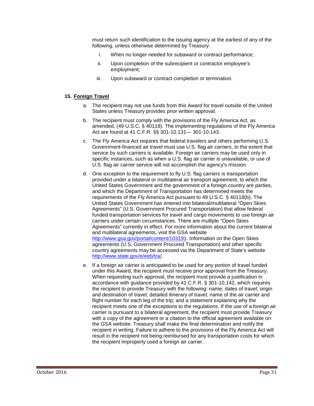must return such identification to the issuing agency at the earliest of any of the following, unless otherwise determined by Treasury:

- i. When no longer needed for subaward or contract performance;
- ii. Upon completion of the subrecipient or contractor employee's employment;
- iii. Upon subaward or contract completion or termination.

#### **15. Foreign Travel**

- a. The recipient may not use funds from this Award for travel outside of the United States unless Treasury provides prior written approval.
- b. The recipient must comply with the provisions of the Fly America Act, as amended, (49 U.S.C. § 40118). The implementing regulations of the Fly America Act are found at 41 C.F.R. §§ 301-10.131— 301-10.143.
- c. The Fly America Act requires that federal travelers and others performing U.S. Government-financed air travel must use U.S. flag air carriers, to the extent that service by such carriers is available. Foreign air carriers may be used only in specific instances, such as when a U.S. flag air carrier is unavailable, or use of U.S. flag air carrier service will not accomplish the agency's mission.
- d. One exception to the requirement to fly U.S. flag carriers is transportation provided under a bilateral or multilateral air transport agreement, to which the United States Government and the government of a foreign country are parties, and which the Department of Transportation has determined meets the requirements of the Fly America Act pursuant to 49 U.S.C. § 40118(b). The United States Government has entered into bilateral/multilateral "Open Skies Agreements" (U.S. Government Procured Transportation) that allow federal funded transportation services for travel and cargo movements to use foreign air carriers under certain circumstances. There are multiple "Open Skies Agreements" currently in effect. For more information about the current bilateral and multilateral agreements, visit the GSA website http://www.gsa.gov/portal/content/103191. Information on the Open Skies agreements (U.S. Government Procured Transportation) and other specific country agreements may be accessed via the Department of State's website http://www.state.gov/e/eeb/tra/.
- e. If a foreign air carrier is anticipated to be used for any portion of travel funded under this Award, the recipient must receive prior approval from the Treasury. When requesting such approval, the recipient must provide a justification in accordance with guidance provided by 41 C.F.R. § 301-10.142, which requires the recipient to provide Treasury with the following: name; dates of travel; origin and destination of travel; detailed itinerary of travel; name of the air carrier and flight number for each leg of the trip; and a statement explaining why the recipient meets one of the exceptions to the regulations. If the use of a foreign air carrier is pursuant to a bilateral agreement, the recipient must provide Treasury with a copy of the agreement or a citation to the official agreement available on the GSA website. Treasury shall make the final determination and notify the recipient in writing. Failure to adhere to the provisions of the Fly America Act will result in the recipient not being reimbursed for any transportation costs for which the recipient improperly used a foreign air carrier.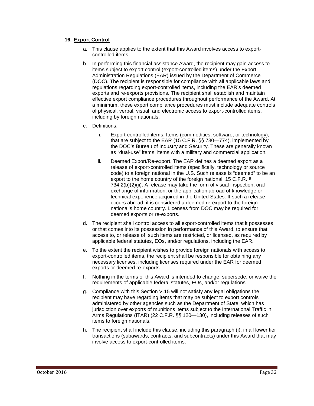#### **16. Export Control**

- a. This clause applies to the extent that this Award involves access to exportcontrolled items.
- b. In performing this financial assistance Award, the recipient may gain access to items subject to export control (export-controlled items) under the Export Administration Regulations (EAR) issued by the Department of Commerce (DOC). The recipient is responsible for compliance with all applicable laws and regulations regarding export-controlled items, including the EAR's deemed exports and re-exports provisions. The recipient shall establish and maintain effective export compliance procedures throughout performance of the Award. At a minimum, these export compliance procedures must include adequate controls of physical, verbal, visual, and electronic access to export-controlled items, including by foreign nationals.
- c. Definitions:
	- i. Export-controlled items. Items (commodities, software, or technology), that are subject to the EAR (15 C.F.R. §§ 730—774), implemented by the DOC's Bureau of Industry and Security. These are generally known as "dual-use" items, items with a military and commercial application.
	- ii. Deemed Export/Re-export. The EAR defines a deemed export as a release of export-controlled items (specifically, technology or source code) to a foreign national in the U.S. Such release is "deemed" to be an export to the home country of the foreign national. 15 C.F.R. § 734.2(b)(2)(ii). A release may take the form of visual inspection, oral exchange of information, or the application abroad of knowledge or technical experience acquired in the United States. If such a release occurs abroad, it is considered a deemed re-export to the foreign national's home country. Licenses from DOC may be required for deemed exports or re-exports.
- d. The recipient shall control access to all export-controlled items that it possesses or that comes into its possession in performance of this Award, to ensure that access to, or release of, such items are restricted, or licensed, as required by applicable federal statutes, EOs, and/or regulations, including the EAR.
- e. To the extent the recipient wishes to provide foreign nationals with access to export-controlled items, the recipient shall be responsible for obtaining any necessary licenses, including licenses required under the EAR for deemed exports or deemed re-exports.
- f. Nothing in the terms of this Award is intended to change, supersede, or waive the requirements of applicable federal statutes, EOs, and/or regulations.
- g. Compliance with this Section V.15 will not satisfy any legal obligations the recipient may have regarding items that may be subject to export controls administered by other agencies such as the Department of State, which has jurisdiction over exports of munitions items subject to the International Traffic in Arms Regulations (ITAR) (22 C.F.R. §§ 120—130), including releases of such items to foreign nationals.
- h. The recipient shall include this clause, including this paragraph (i), in all lower tier transactions (subawards, contracts, and subcontracts) under this Award that may involve access to export-controlled items.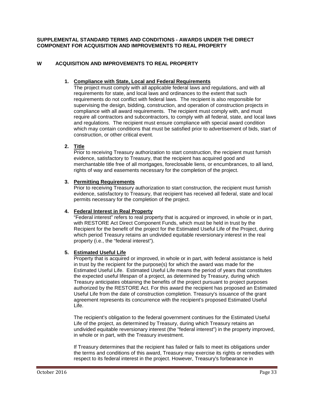### **SUPPLEMENTAL STANDARD TERMS AND CONDITIONS - AWARDS UNDER THE DIRECT COMPONENT FOR ACQUISITION AND IMPROVEMENTS TO REAL PROPERTY**

# <span id="page-34-0"></span>**W ACQUISITION AND IMPROVEMENTS TO REAL PROPERTY**

# **1. Compliance with State, Local and Federal Requirements**

The project must comply with all applicable federal laws and regulations, and with all requirements for state, and local laws and ordinances to the extent that such requirements do not conflict with federal laws. The recipient is also responsible for supervising the design, bidding, construction, and operation of construction projects in compliance with all award requirements. The recipient must comply with, and must require all contractors and subcontractors, to comply with all federal, state, and local laws and regulations. The recipient must ensure compliance with special award condition which may contain conditions that must be satisfied prior to advertisement of bids, start of construction, or other critical event.

# **2. Title**

Prior to receiving Treasury authorization to start construction, the recipient must furnish evidence, satisfactory to Treasury, that the recipient has acquired good and merchantable title free of all mortgages, foreclosable liens, or encumbrances, to all land, rights of way and easements necessary for the completion of the project.

# **3. Permitting Requirements**

Prior to receiving Treasury authorization to start construction, the recipient must furnish evidence, satisfactory to Treasury, that recipient has received all federal, state and local permits necessary for the completion of the project.

# **4. Federal Interest in Real Property**

"Federal interest" refers to real property that is acquired or improved, in whole or in part, with RESTORE Act Direct Component Funds, which must be held in trust by the Recipient for the benefit of the project for the Estimated Useful Life of the Project, during which period Treasury retains an undivided equitable reversionary interest in the real property (i.e., the "federal interest").

# **5. Estimated Useful Life**

Property that is acquired or improved, in whole or in part, with federal assistance is held in trust by the recipient for the purpose(s) for which the award was made for the Estimated Useful Life. Estimated Useful Life means the period of years that constitutes the expected useful lifespan of a project, as determined by Treasury, during which Treasury anticipates obtaining the benefits of the project pursuant to project purposes authorized by the RESTORE Act. For this award the recipient has proposed an Estimated Useful Life from the date of construction completion. Treasury's issuance of the grant agreement represents its concurrence with the recipient's proposed Estimated Useful Life.

The recipient's obligation to the federal government continues for the Estimated Useful Life of the project, as determined by Treasury, during which Treasury retains an undivided equitable reversionary interest (the "federal interest") in the property improved, in whole or in part, with the Treasury investment.

If Treasury determines that the recipient has failed or fails to meet its obligations under the terms and conditions of this award, Treasury may exercise its rights or remedies with respect to its federal interest in the project. However, Treasury's forbearance in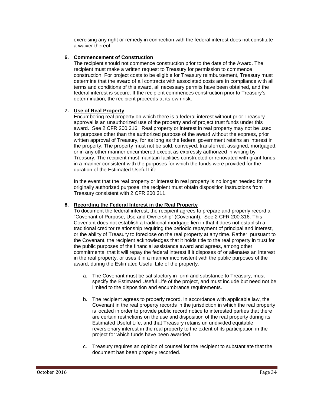exercising any right or remedy in connection with the federal interest does not constitute a waiver thereof.

# **6. Commencement of Construction**

The recipient should not commence construction prior to the date of the Award. The recipient must make a written request to Treasury for permission to commence construction. For project costs to be eligible for Treasury reimbursement, Treasury must determine that the award of all contracts with associated costs are in compliance with all terms and conditions of this award, all necessary permits have been obtained, and the federal interest is secure. If the recipient commences construction prior to Treasury's determination, the recipient proceeds at its own risk.

#### **7. Use of Real Property**

Encumbering real property on which there is a federal interest without prior Treasury approval is an unauthorized use of the property and of project trust funds under this award. See 2 CFR 200.316. Real property or interest in real property may not be used for purposes other than the authorized purpose of the award without the express, prior written approval of Treasury, for as long as the federal government retains an interest in the property. The property must not be sold, conveyed, transferred, assigned, mortgaged, or in any other manner encumbered except as expressly authorized in writing by Treasury. The recipient must maintain facilities constructed or renovated with grant funds in a manner consistent with the purposes for which the funds were provided for the duration of the Estimated Useful Life.

In the event that the real property or interest in real property is no longer needed for the originally authorized purpose, the recipient must obtain disposition instructions from Treasury consistent with 2 CFR 200.311.

# **8. Recording the Federal Interest in the Real Property**

To document the federal interest, the recipient agrees to prepare and properly record a "Covenant of Purpose, Use and Ownership" (Covenant). See 2 CFR 200.316. This Covenant does not establish a traditional mortgage lien in that it does not establish a traditional creditor relationship requiring the periodic repayment of principal and interest, or the ability of Treasury to foreclose on the real property at any time. Rather, pursuant to the Covenant, the recipient acknowledges that it holds title to the real property in trust for the public purposes of the financial assistance award and agrees, among other commitments, that it will repay the federal interest if it disposes of or alienates an interest in the real property, or uses it in a manner inconsistent with the public purposes of the award, during the Estimated Useful Life of the property.

- a. The Covenant must be satisfactory in form and substance to Treasury, must specify the Estimated Useful Life of the project, and must include but need not be limited to the disposition and encumbrance requirements.
- b. The recipient agrees to properly record, in accordance with applicable law, the Covenant in the real property records in the jurisdiction in which the real property is located in order to provide public record notice to interested parties that there are certain restrictions on the use and disposition of the real property during its Estimated Useful Life, and that Treasury retains un undivided equitable reversionary interest in the real property to the extent of its participation in the project for which funds have been awarded.
- c. Treasury requires an opinion of counsel for the recipient to substantiate that the document has been properly recorded.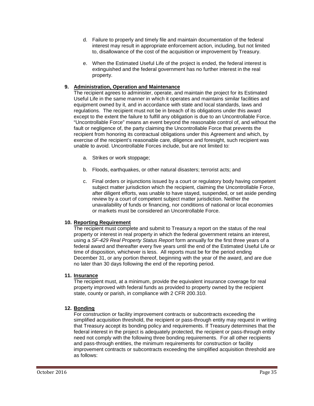- d. Failure to properly and timely file and maintain documentation of the federal interest may result in appropriate enforcement action, including, but not limited to, disallowance of the cost of the acquisition or improvement by Treasury.
- e. When the Estimated Useful Life of the project is ended, the federal interest is extinguished and the federal government has no further interest in the real property.

# **9. Administration, Operation and Maintenance**

The recipient agrees to administer, operate, and maintain the project for its Estimated Useful Life in the same manner in which it operates and maintains similar facilities and equipment owned by it, and in accordance with state and local standards, laws and regulations. The recipient must not be in breach of its obligations under this award except to the extent the failure to fulfill any obligation is due to an Uncontrollable Force. "Uncontrollable Force" means an event beyond the reasonable control of, and without the fault or negligence of, the party claiming the Uncontrollable Force that prevents the recipient from honoring its contractual obligations under this Agreement and which, by exercise of the recipient's reasonable care, diligence and foresight, such recipient was unable to avoid. Uncontrollable Forces include, but are not limited to:

- a. Strikes or work stoppage;
- b. Floods, earthquakes, or other natural disasters; terrorist acts; and
- c. Final orders or injunctions issued by a court or regulatory body having competent subject matter jurisdiction which the recipient, claiming the Uncontrollable Force, after diligent efforts, was unable to have stayed, suspended, or set aside pending review by a court of competent subject matter jurisdiction. Neither the unavailability of funds or financing, nor conditions of national or local economies or markets must be considered an Uncontrollable Force.

# **10. Reporting Requirement**

The recipient must complete and submit to Treasury a report on the status of the real property or interest in real property in which the federal government retains an interest, using a *SF-429 Real Property Status Report* form annually for the first three years of a federal award and thereafter every five years until the end of the Estimated Useful Life or time of disposition, whichever is less. All reports must be for the period ending December 31, or any portion thereof, beginning with the year of the award, and are due no later than 30 days following the end of the reporting period.

#### **11. Insurance**

The recipient must, at a minimum, provide the equivalent insurance coverage for real property improved with federal funds as provided to property owned by the recipient state, county or parish, in compliance with 2 CFR 200.310.

# **12. Bonding**

For construction or facility improvement contracts or subcontracts exceeding the simplified acquisition threshold, the recipient or pass-through entity may request in writing that Treasury accept its bonding policy and requirements. If Treasury determines that the federal interest in the project is adequately protected, the recipient or pass-through entity need not comply with the following three bonding requirements. For all other recipients and pass-through entities, the minimum requirements for construction or facility improvement contracts or subcontracts exceeding the simplified acquisition threshold are as follows: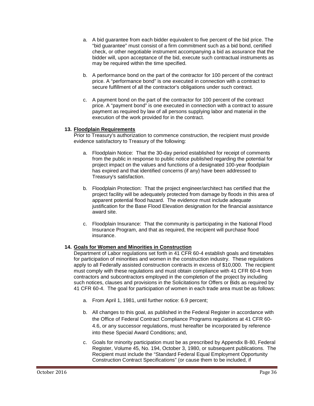- a. A bid guarantee from each bidder equivalent to five percent of the bid price. The "bid guarantee" must consist of a firm commitment such as a bid bond, certified check, or other negotiable instrument accompanying a bid as assurance that the bidder will, upon acceptance of the bid, execute such contractual instruments as may be required within the time specified.
- b. A performance bond on the part of the contractor for 100 percent of the contract price. A "performance bond" is one executed in connection with a contract to secure fulfillment of all the contractor's obligations under such contract.
- c. A payment bond on the part of the contractor for 100 percent of the contract price. A "payment bond" is one executed in connection with a contract to assure payment as required by law of all persons supplying labor and material in the execution of the work provided for in the contract.

#### **13. Floodplain Requirements**

Prior to Treasury's authorization to commence construction, the recipient must provide evidence satisfactory to Treasury of the following:

- a. Floodplain Notice: That the 30-day period established for receipt of comments from the public in response to public notice published regarding the potential for project impact on the values and functions of a designated 100-year floodplain has expired and that identified concerns (if any) have been addressed to Treasury's satisfaction.
- b. Floodplain Protection: That the project engineer/architect has certified that the project facility will be adequately protected from damage by floods in this area of apparent potential flood hazard. The evidence must include adequate justification for the Base Flood Elevation designation for the financial assistance award site.
- c. Floodplain Insurance: That the community is participating in the National Flood Insurance Program, and that as required, the recipient will purchase flood insurance.

# **14. Goals for Women and Minorities in Construction**

Department of Labor regulations set forth in 41 CFR 60-4 establish goals and timetables for participation of minorities and women in the construction industry. These regulations apply to all Federally assisted construction contracts in excess of \$10,000. The recipient must comply with these regulations and must obtain compliance with 41 CFR 60-4 from contractors and subcontractors employed in the completion of the project by including such notices, clauses and provisions in the Solicitations for Offers or Bids as required by 41 CFR 60-4. The goal for participation of women in each trade area must be as follows:

- a. From April 1, 1981, until further notice: 6.9 percent;
- b. All changes to this goal, as published in the Federal Register in accordance with the Office of Federal Contract Compliance Programs regulations at 41 CFR 60- 4.6, or any successor regulations, must hereafter be incorporated by reference into these Special Award Conditions; and,
- c. Goals for minority participation must be as prescribed by Appendix B-80, Federal Register, Volume 45, No. 194, October 3, 1980, or subsequent publications. The Recipient must include the "Standard Federal Equal Employment Opportunity Construction Contract Specifications" (or cause them to be included, if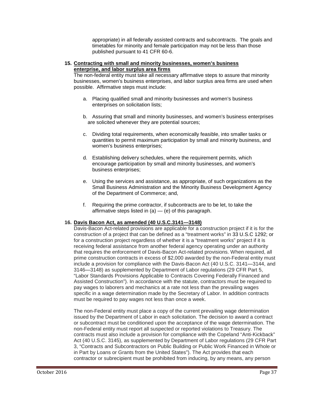appropriate) in all federally assisted contracts and subcontracts. The goals and timetables for minority and female participation may not be less than those published pursuant to 41 CFR 60-6.

### **15. Contracting with small and minority businesses, women's business enterprise, and labor surplus area firms**

The non-federal entity must take all necessary affirmative steps to assure that minority businesses, women's business enterprises, and labor surplus area firms are used when possible. Affirmative steps must include:

- a. Placing qualified small and minority businesses and women's business enterprises on solicitation lists;
- b. Assuring that small and minority businesses, and women's business enterprises are solicited whenever they are potential sources;
- c. Dividing total requirements, when economically feasible, into smaller tasks or quantities to permit maximum participation by small and minority business, and women's business enterprises;
- d. Establishing delivery schedules, where the requirement permits, which encourage participation by small and minority businesses, and women's business enterprises;
- e. Using the services and assistance, as appropriate, of such organizations as the Small Business Administration and the Minority Business Development Agency of the Department of Commerce; and,
- f. Requiring the prime contractor, if subcontracts are to be let, to take the affirmative steps listed in  $(a)$  — (e) of this paragraph.

# **16. Davis Bacon Act, as amended (40 U.S.C.3141—3148)**

Davis-Bacon Act-related provisions are applicable for a construction project if it is for the construction of a project that can be defined as a "treatment works" in 33 U.S.C 1292; or for a construction project regardless of whether it is a "treatment works" project if it is receiving federal assistance from another federal agency operating under an authority that requires the enforcement of Davis-Bacon Act-related provisions. When required, all prime construction contracts in excess of \$2,000 awarded by the non-Federal entity must include a provision for compliance with the Davis-Bacon Act (40 U.S.C. 3141—3144, and 3146—3148) as supplemented by Department of Labor regulations (29 CFR Part 5, "Labor Standards Provisions Applicable to Contracts Covering Federally Financed and Assisted Construction"). In accordance with the statute, contractors must be required to pay wages to laborers and mechanics at a rate not less than the prevailing wages specific in a wage determination made by the Secretary of Labor. In addition contracts must be required to pay wages not less than once a week.

The non-Federal entity must place a copy of the current prevailing wage determination issued by the Department of Labor in each solicitation. The decision to award a contract or subcontract must be conditioned upon the acceptance of the wage determination. The non-Federal entity must report all suspected or reported violations to Treasury. The contracts must also include a provision for compliance with the Copeland "Anti-Kickback" Act (40 U.S.C. 3145), as supplemented by Department of Labor regulations (29 CFR Part 3, "Contracts and Subcontractors on Public Building or Public Work Financed in Whole or in Part by Loans or Grants from the United States"). The Act provides that each contractor or subrecipient must be prohibited from inducing, by any means, any person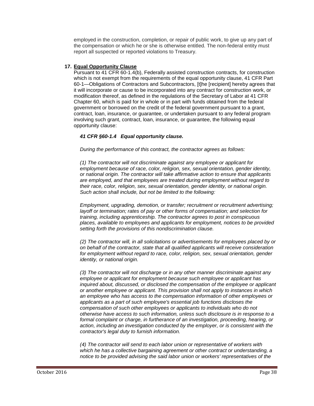employed in the construction, completion, or repair of public work, to give up any part of the compensation or which he or she is otherwise entitled. The non-federal entity must report all suspected or reported violations to Treasury.

# **17. Equal Opportunity Clause**

Pursuant to 41 CFR 60-1.4(b), Federally assisted construction contracts, for construction which is not exempt from the requirements of the equal opportunity clause, 41 CFR Part 60-1—Obligations of Contractors and Subcontractors, [t]he [recipient] hereby agrees that it will incorporate or cause to be incorporated into any contract for construction work, or modification thereof, as defined in the regulations of the Secretary of Labor at 41 CFR Chapter 60, which is paid for in whole or in part with funds obtained from the federal government or borrowed on the credit of the federal government pursuant to a grant, contract, loan, insurance, or guarantee, or undertaken pursuant to any federal program involving such grant, contract, loan, insurance, or guarantee, the following equal opportunity clause:

# *41 CFR §60-1.4 Equal opportunity clause.*

*During the performance of this contract, the contractor agrees as follows:*

*(1) The contractor will not discriminate against any employee or applicant for employment because of race, color, religion, sex, sexual orientation, gender identity, or national origin. The contractor will take affirmative action to ensure that applicants are employed, and that employees are treated during employment without regard to their race, color, religion, sex, sexual orientation, gender identity, or national origin. Such action shall include, but not be limited to the following:*

*Employment, upgrading, demotion, or transfer; recruitment or recruitment advertising; layoff or termination; rates of pay or other forms of compensation; and selection for training, including apprenticeship. The contractor agrees to post in conspicuous places, available to employees and applicants for employment, notices to be provided setting forth the provisions of this nondiscrimination clause.*

*(2) The contractor will, in all solicitations or advertisements for employees placed by or on behalf of the contractor, state that all qualified applicants will receive consideration for employment without regard to race, color, religion, sex, sexual orientation, gender identity, or national origin.*

*(3) The contractor will not discharge or in any other manner discriminate against any employee or applicant for employment because such employee or applicant has inquired about, discussed, or disclosed the compensation of the employee or applicant or another employee or applicant. This provision shall not apply to instances in which an employee who has access to the compensation information of other employees or applicants as a part of such employee's essential job functions discloses the compensation of such other employees or applicants to individuals who do not otherwise have access to such information, unless such disclosure is in response to a formal complaint or charge, in furtherance of an investigation, proceeding, hearing, or action, including an investigation conducted by the employer, or is consistent with the contractor's legal duty to furnish information.*

*(4) The contractor will send to each labor union or representative of workers with which he has a collective bargaining agreement or other contract or understanding, a notice to be provided advising the said labor union or workers' representatives of the*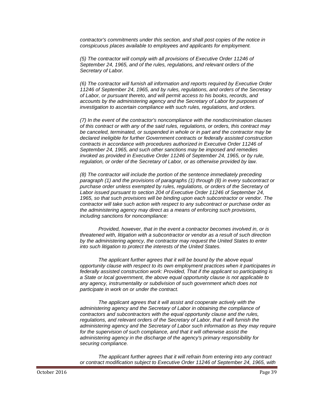*contractor's commitments under this section, and shall post copies of the notice in conspicuous places available to employees and applicants for employment.*

*(5) The contractor will comply with all provisions of Executive Order 11246 of September 24, 1965, and of the rules, regulations, and relevant orders of the Secretary of Labor.*

*(6) The contractor will furnish all information and reports required by Executive Order 11246 of September 24, 1965, and by rules, regulations, and orders of the Secretary of Labor, or pursuant thereto, and will permit access to his books, records, and accounts by the administering agency and the Secretary of Labor for purposes of investigation to ascertain compliance with such rules, regulations, and orders.*

*(7) In the event of the contractor's noncompliance with the nondiscrimination clauses of this contract or with any of the said rules, regulations, or orders, this contract may be canceled, terminated, or suspended in whole or in part and the contractor may be declared ineligible for further Government contracts or federally assisted construction*  contracts in accordance with procedures authorized in Executive Order 11246 of *September 24, 1965, and such other sanctions may be imposed and remedies invoked as provided in Executive Order 11246 of September 24, 1965, or by rule, regulation, or order of the Secretary of Labor, or as otherwise provided by law.*

*(8) The contractor will include the portion of the sentence immediately preceding paragraph (1) and the provisions of paragraphs (1) through (8) in every subcontract or purchase order unless exempted by rules, regulations, or orders of the Secretary of Labor issued pursuant to section 204 of Executive Order 11246 of September 24, 1965, so that such provisions will be binding upon each subcontractor or vendor. The contractor will take such action with respect to any subcontract or purchase order as the administering agency may direct as a means of enforcing such provisions, including sanctions for noncompliance:*

*Provided, however, that in the event a contractor becomes involved in, or is threatened with, litigation with a subcontractor or vendor as a result of such direction by the administering agency, the contractor may request the United States to enter into such litigation to protect the interests of the United States.*

*The applicant further agrees that it will be bound by the above equal opportunity clause with respect to its own employment practices when it participates in federally assisted construction work: Provided, That if the applicant so participating is a State or local government, the above equal opportunity clause is not applicable to any agency, instrumentality or subdivision of such government which does not participate in work on or under the contract.*

*The applicant agrees that it will assist and cooperate actively with the administering agency and the Secretary of Labor in obtaining the compliance of contractors and subcontractors with the equal opportunity clause and the rules, regulations, and relevant orders of the Secretary of Labor, that it will furnish the administering agency and the Secretary of Labor such information as they may require for the supervision of such compliance, and that it will otherwise assist the administering agency in the discharge of the agency's primary responsibility for securing compliance.*

*The applicant further agrees that it will refrain from entering into any contract or contract modification subject to Executive Order 11246 of September 24, 1965, with*